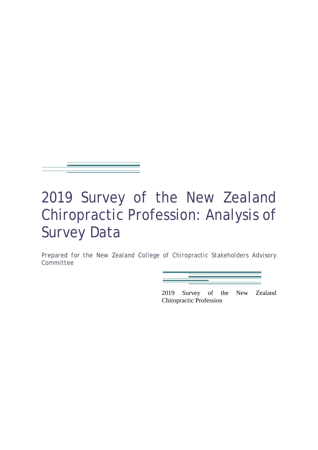

# 2019 Survey of the New Zealand Chiropractic Profession: Analysis of Survey Data

*Prepared for the New Zealand College of Chiropractic Stakeholders Advisory Committee*

> 2019 Survey of the New Zealand Chiropractic Profession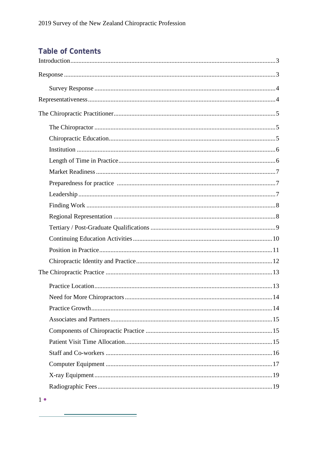# **Table of Contents**

<u> Andreas Andreas Andreas Andreas Andreas Andreas Andreas Andreas Andreas Andreas Andreas Andreas Andreas Andreas Andreas Andreas Andreas Andreas Andreas Andreas Andreas Andreas Andreas Andreas Andreas Andreas Andreas Andr</u>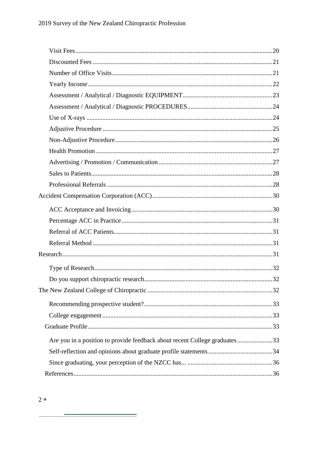| Are you in a position to provide feedback about recent College graduates33 |  |
|----------------------------------------------------------------------------|--|
|                                                                            |  |
|                                                                            |  |
|                                                                            |  |
|                                                                            |  |

÷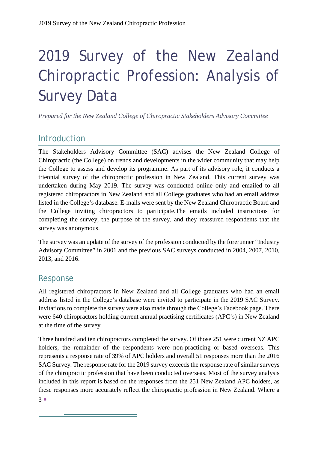# 2019 Survey of the New Zealand Chiropractic Profession: Analysis of Survey Data

*Prepared for the New Zealand College of Chiropractic Stakeholders Advisory Committee*

# <span id="page-3-0"></span>Introduction

The Stakeholders Advisory Committee (SAC) advises the New Zealand College of Chiropractic (the College) on trends and developments in the wider community that may help the College to assess and develop its programme. As part of its advisory role, it conducts a triennial survey of the chiropractic profession in New Zealand. This current survey was undertaken during May 2019. The survey was conducted online only and emailed to all registered chiropractors in New Zealand and all College graduates who had an email address listed in the College's database. E-mails were sent by the New Zealand Chiropractic Board and the College inviting chiropractors to participate.The emails included instructions for completing the survey, the purpose of the survey, and they reassured respondents that the survey was anonymous.

The survey was an update of the survey of the profession conducted by the forerunner "Industry Advisory Committee" in 2001 and the previous SAC surveys conducted in 2004, 2007, 2010, 2013, and 2016.

# <span id="page-3-1"></span>Response

All registered chiropractors in New Zealand and all College graduates who had an email address listed in the College's database were invited to participate in the 2019 SAC Survey. Invitations to complete the survey were also made through the College's Facebook page. There were 640 chiropractors holding current annual practising certificates (APC's) in New Zealand at the time of the survey.

Three hundred and ten chiropractors completed the survey. Of those 251 were current NZ APC holders, the remainder of the respondents were non-practicing or based overseas. This represents a response rate of 39% of APC holders and overall 51 responses more than the 2016 SAC Survey. The response rate for the 2019 survey exceeds the response rate of similar surveys of the chiropractic profession that have been conducted overseas. Most of the survey analysis included in this report is based on the responses from the 251 New Zealand APC holders, as these responses more accurately reflect the chiropractic profession in New Zealand. Where a

3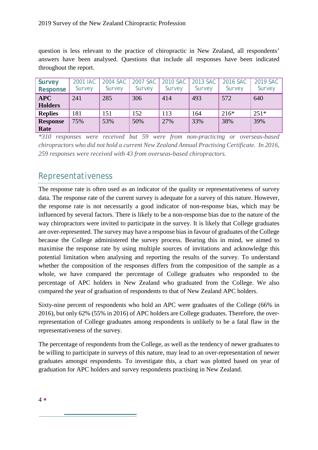question is less relevant to the practice of chiropractic in New Zealand, all respondents' answers have been analysed. Questions that include all responses have been indicated throughout the report.

<span id="page-4-0"></span>

| <b>Survey</b><br><b>Response</b> | 2001 IAC<br>Survey | 2004 SAC<br>Survey | 2007 SAC<br>Survey | 2010 SAC<br>Survey | 2013 SAC<br>Survey | 2016 SAC<br>Survey | 2019 SAC<br>Survey |
|----------------------------------|--------------------|--------------------|--------------------|--------------------|--------------------|--------------------|--------------------|
| <b>APC</b><br><b>Holders</b>     | 241                | 285                | 306                | 414                | 493                | 572                | 640                |
| <b>Replies</b>                   | 181                | 151                | 152                | 113                | 164                | $216*$             | $251*$             |
| <b>Response</b><br>Rate          | 75%                | 53%                | 50%                | 27%                | 33%                | 38%                | 39%                |

*\*310 responses were received but 59 were from non-practicing or overseas-based chiropractors who did not hold a current New Zealand Annual Practising Certificate. In 2016, 259 responses were received with 43 from overseas-based chiropractors.*

# <span id="page-4-1"></span>Representativeness

The response rate is often used as an indicator of the quality or representativeness of survey data. The response rate of the current survey is adequate for a survey of this nature. However, the response rate is not necessarily a good indicator of non-response bias, which may be influenced by several factors. There is likely to be a non-response bias due to the nature of the way chiropractors were invited to participate in the survey. It is likely that College graduates are over-represented. The survey may have a response bias in favour of graduates of the College because the College administered the survey process. Bearing this in mind, we aimed to maximise the response rate by using multiple sources of invitations and acknowledge this potential limitation when analysing and reporting the results of the survey. To understand whether the composition of the responses differs from the composition of the sample as a whole, we have compared the percentage of College graduates who responded to the percentage of APC holders in New Zealand who graduated from the College. We also compared the year of graduation of respondents to that of New Zealand APC holders.

Sixty-nine percent of respondents who hold an APC were graduates of the College (66% in 2016), but only 62% (55% in 2016) of APC holders are College graduates. Therefore, the overrepresentation of College graduates among respondents is unlikely to be a fatal flaw in the representativeness of the survey.

The percentage of respondents from the College, as well as the tendency of newer graduates to be willing to participate in surveys of this nature, may lead to an over-representation of newer graduates amongst respondents. To investigate this, a chart was plotted based on year of graduation for APC holders and survey respondents practising in New Zealand.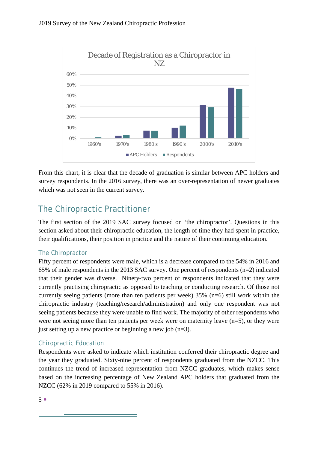

From this chart, it is clear that the decade of graduation is similar between APC holders and survey respondents. In the 2016 survey, there was an over-representation of newer graduates which was not seen in the current survey.

# <span id="page-5-0"></span>The Chiropractic Practitioner

The first section of the 2019 SAC survey focused on 'the chiropractor'. Questions in this section asked about their chiropractic education, the length of time they had spent in practice, their qualifications, their position in practice and the nature of their continuing education.

# <span id="page-5-1"></span>The Chiropractor

Fifty percent of respondents were male, which is a decrease compared to the 54% in 2016 and 65% of male respondents in the 2013 SAC survey. One percent of respondents (n=2) indicated that their gender was diverse. Ninety-two percent of respondents indicated that they were currently practising chiropractic as opposed to teaching or conducting research. Of those not currently seeing patients (more than ten patients per week) 35% (n=6) still work within the chiropractic industry (teaching/research/administration) and only one respondent was not seeing patients because they were unable to find work. The majority of other respondents who were not seeing more than ten patients per week were on maternity leave  $(n=5)$ , or they were just setting up a new practice or beginning a new job  $(n=3)$ .

# <span id="page-5-2"></span>Chiropractic Education

Respondents were asked to indicate which institution conferred their chiropractic degree and the year they graduated. Sixty-nine percent of respondents graduated from the NZCC. This continues the trend of increased representation from NZCC graduates, which makes sense based on the increasing percentage of New Zealand APC holders that graduated from the NZCC (62% in 2019 compared to 55% in 2016).

 $5<sup>°</sup>$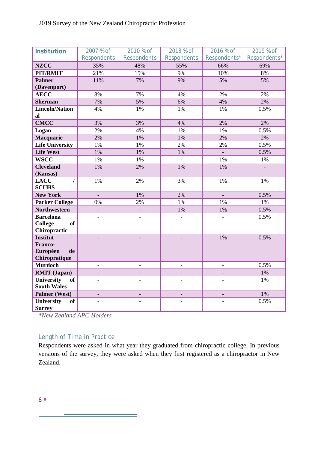<span id="page-6-0"></span>

| Institution                              | 2007 % of                | 2010 % of          | 2013 % of          | 2016 % of                | 2019 % of    |
|------------------------------------------|--------------------------|--------------------|--------------------|--------------------------|--------------|
|                                          | <b>Respondents</b>       | <b>Respondents</b> | <b>Respondents</b> | Respondents*             | Respondents* |
| <b>NZCC</b>                              | 35%                      | 48%                | 55%                | 66%                      | 69%          |
| PIT/RMIT                                 | 21%                      | 15%                | 9%                 | 10%                      | 8%           |
| <b>Palmer</b>                            | 11%                      | 7%                 | 9%                 | 5%                       | 5%           |
| (Davenport)                              |                          |                    |                    |                          |              |
| <b>AECC</b>                              | 8%                       | 7%                 | 4%                 | 2%                       | 2%           |
| <b>Sherman</b>                           | 7%                       | 5%                 | 6%                 | 4%                       | 2%           |
| <b>Lincoln/Nation</b>                    | 4%                       | 1%                 | 1%                 | 1%                       | 0.5%         |
| al                                       |                          |                    |                    |                          |              |
| <b>CMCC</b>                              | 3%                       | 3%                 | 4%                 | 2%                       | 2%           |
| Logan                                    | 2%                       | 4%                 | 1%                 | 1%                       | 0.5%         |
| Macquarie                                | 2%                       | 1%                 | 1%                 | 2%                       | 2%           |
| <b>Life University</b>                   | $1\%$                    | 1%                 | 2%                 | 2%                       | 0.5%         |
| <b>Life West</b>                         | 1%                       | 1%                 | 1%                 | $\Box$                   | 0.5%         |
| <b>WSCC</b>                              | $1\%$                    | 1%                 | $\overline{a}$     | 1%                       | $1\%$        |
| <b>Cleveland</b>                         | 1%                       | 2%                 | 1%                 | $1\%$                    |              |
| (Kansas)<br><b>LACC</b><br>$\prime$      | 1%                       | 2%                 | 3%                 | 1%                       | $1\%$        |
| <b>SCUHS</b>                             |                          |                    |                    |                          |              |
| <b>New York</b>                          | $\Box$                   | 1%                 | 2%                 | $\equiv$                 | 0.5%         |
| <b>Parker College</b>                    | $0\%$                    | 2%                 | 1%                 | 1%                       | 1%           |
| <b>Northwestern</b>                      |                          |                    | 1%                 | $1\%$                    | 0.5%         |
| <b>Barcelona</b>                         | $\overline{a}$           | $\blacksquare$     | $\blacksquare$     | $\overline{a}$           | 0.5%         |
| <b>College</b><br><b>of</b>              |                          |                    |                    |                          |              |
| Chiropractic                             |                          |                    |                    |                          |              |
| <b>Institut</b>                          |                          |                    |                    | $1\%$                    | 0.5%         |
| Franco-<br>Européen<br>de                |                          |                    |                    |                          |              |
| Chiropratique                            |                          |                    |                    |                          |              |
| <b>Murdoch</b>                           | $\overline{\phantom{a}}$ |                    |                    | $\overline{\phantom{a}}$ | 0.5%         |
| <b>RMIT</b> (Japan)                      |                          |                    |                    |                          | 1%           |
| University<br><b>of</b>                  | $\overline{a}$           | $\overline{a}$     |                    | $\overline{a}$           | 1%           |
| <b>South Wales</b>                       |                          |                    |                    |                          |              |
| Palmer (West)                            | $\qquad \qquad -$        |                    |                    |                          | 1%           |
| University<br><b>of</b><br><b>Surrey</b> | $\overline{a}$           |                    |                    |                          | 0.5%         |

*\*New Zealand APC Holders*

## <span id="page-6-1"></span>Length of Time in Practice

Respondents were asked in what year they graduated from chiropractic college. In previous versions of the survey, they were asked when they first registered as a chiropractor in New Zealand.

۰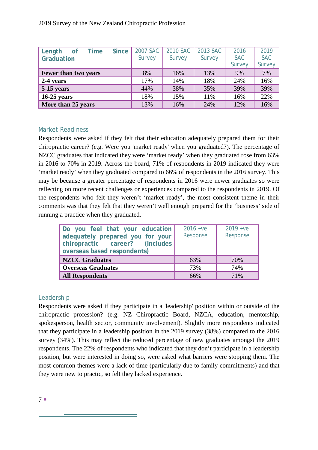| <b>Since</b><br>Length<br><b>of</b><br>Time | 2007 SAC | 2010 SAC | 2013 SAC | 2016<br><b>SAC</b> | 2019<br><b>SAC</b> |
|---------------------------------------------|----------|----------|----------|--------------------|--------------------|
| Graduation                                  | Survey   | Survey   | Survey   | Survey             | Survey             |
| Fewer than two years                        | 8%       | 16%      | 13%      | 9%                 | 7%                 |
| 2-4 years                                   | 17%      | 14%      | 18%      | 24%                | 16%                |
| 5-15 years                                  | 44%      | 38%      | 35%      | 39%                | 39%                |
| $16-25$ years                               | 18%      | 15%      | 11%      | 16%                | 22%                |
| More than 25 years                          | 13%      | 16%      | 24%      | 12%                | 16%                |

#### <span id="page-7-0"></span>Market Readiness

Respondents were asked if they felt that their education adequately prepared them for their chiropractic career? (e.g. Were you 'market ready' when you graduated?). The percentage of NZCC graduates that indicated they were 'market ready' when they graduated rose from 63% in 2016 to 70% in 2019. Across the board, 71% of respondents in 2019 indicated they were 'market ready' when they graduated compared to 66% of respondents in the 2016 survey. This may be because a greater percentage of respondents in 2016 were newer graduates so were reflecting on more recent challenges or experiences compared to the respondents in 2019. Of the respondents who felt they weren't 'market ready', the most consistent theme in their comments was that they felt that they weren't well enough prepared for the 'business' side of running a practice when they graduated.

<span id="page-7-1"></span>

| Do you feel that your education<br>adequately prepared you for your<br>chiropractic career? (Includes<br>overseas based respondents) | $2016 + v$ e<br>Response | $2019 + v$ e<br>Response |
|--------------------------------------------------------------------------------------------------------------------------------------|--------------------------|--------------------------|
| <b>NZCC Graduates</b>                                                                                                                | 63%                      | 70%                      |
| <b>Overseas Graduates</b>                                                                                                            | 73%                      | 74%                      |
| <b>All Respondents</b>                                                                                                               | 66%                      | 71%                      |

#### <span id="page-7-2"></span>Leadership

Respondents were asked if they participate in a 'leadership' position within or outside of the chiropractic profession? (e.g. NZ Chiropractic Board, NZCA, education, mentorship, spokesperson, health sector, community involvement). Slightly more respondents indicated that they participate in a leadership position in the 2019 survey (38%) compared to the 2016 survey (34%). This may reflect the reduced percentage of new graduates amongst the 2019 respondents. The 22% of respondents who indicated that they don't participate in a leadership position, but were interested in doing so, were asked what barriers were stopping them. The most common themes were a lack of time (particularly due to family commitments) and that they were new to practic, so felt they lacked experience.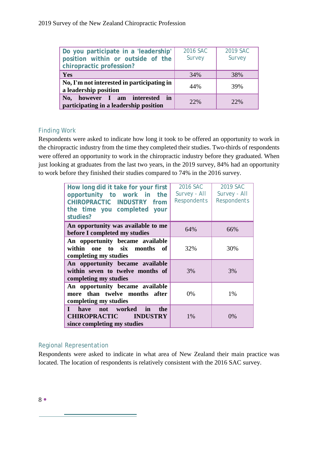| Do you participate in a 'leadership'<br>position within or outside of the<br>chiropractic profession? | 2016 SAC<br>Survey | 2019 SAC<br>Survey |
|-------------------------------------------------------------------------------------------------------|--------------------|--------------------|
| Yes                                                                                                   | 34%                | 38%                |
| No, I'm not interested in participating in<br>a leadership position                                   | 44%                | 39%                |
| No, however I am interested in<br>participating in a leadership position                              | 22%                | 22%                |

# <span id="page-8-0"></span>Finding Work

Respondents were asked to indicate how long it took to be offered an opportunity to work in the chiropractic industry from the time they completed their studies. Two-thirds of respondents were offered an opportunity to work in the chiropractic industry before they graduated. When just looking at graduates from the last two years, in the 2019 survey, 84% had an opportunity to work before they finished their studies compared to 74% in the 2016 survey.

| How long did it take for your first<br>opportunity to work in the<br>CHIROPRACTIC INDUSTRY from<br>the time you completed your<br>studies? | 2016 SAC<br>Survey - All<br><b>Respondents</b> | 2019 SAC<br>Survey - All<br><b>Respondents</b> |
|--------------------------------------------------------------------------------------------------------------------------------------------|------------------------------------------------|------------------------------------------------|
| An opportunity was available to me<br>before I completed my studies                                                                        | 64%                                            | 66%                                            |
| An opportunity became available<br>within one to six months of<br>completing my studies                                                    | 32%                                            | 30%                                            |
| An opportunity became available<br>within seven to twelve months of<br>completing my studies                                               | 3%                                             | 3%                                             |
| An opportunity became available<br>more than twelve months after<br>completing my studies                                                  | $0\%$                                          | $1\%$                                          |
| I have not worked in<br>the<br><b>CHIROPRACTIC INDUSTRY</b><br>since completing my studies                                                 | 1%                                             | 0%                                             |

#### <span id="page-8-1"></span>Regional Representation

Respondents were asked to indicate in what area of New Zealand their main practice was located. The location of respondents is relatively consistent with the 2016 SAC survey.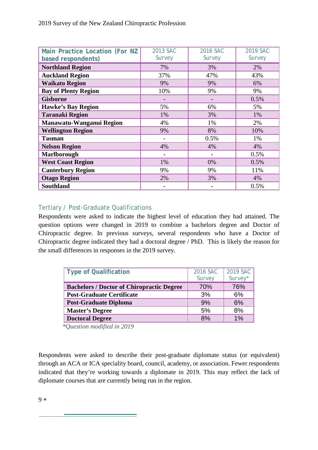| Main Practice Location (For NZ<br>based respondents) | 2013 SAC<br>Survey | 2016 SAC<br>Survey | 2019 SAC<br>Survey |
|------------------------------------------------------|--------------------|--------------------|--------------------|
| <b>Northland Region</b>                              | 7%                 | 3%                 | 2%                 |
| <b>Auckland Region</b>                               | 37%                | 47%                | 43%                |
| <b>Waikato Region</b>                                | 9%                 | 9%                 | 6%                 |
| <b>Bay of Plenty Region</b>                          | 10%                | 9%                 | 9%                 |
| <b>Gisborne</b>                                      |                    |                    | 0.5%               |
| <b>Hawke's Bay Region</b>                            | 5%                 | 6%                 | 5%                 |
| <b>Taranaki Region</b>                               | 1%                 | 3%                 | 1%                 |
| Manawatu-Wanganui Region                             | 4%                 | 1%                 | 2%                 |
| <b>Wellington Region</b>                             | 9%                 | 8%                 | 10%                |
| <b>Tasman</b>                                        | -                  | 0.5%               | 1%                 |
| <b>Nelson Region</b>                                 | 4%                 | 4%                 | 4%                 |
| <b>Marlborough</b>                                   |                    |                    | 0.5%               |
| <b>West Coast Region</b>                             | 1%                 | 0%                 | 0.5%               |
| <b>Canterbury Region</b>                             | 9%                 | 9%                 | 11%                |
| <b>Otago Region</b>                                  | 2%                 | 3%                 | 4%                 |
| <b>Southland</b>                                     |                    |                    | 0.5%               |

## <span id="page-9-0"></span>Tertiary / Post-Graduate Qualifications

Respondents were asked to indicate the highest level of education they had attained. The question options were changed in 2019 to combine a bachelors degree and Doctor of Chiropractic degree. In previous surveys, several respondents who have a Doctor of Chiropractic degree indicated they had a doctoral degree / PhD. This is likely the reason for the small differences in responses in the 2019 survey.

| <b>Type of Qualification</b>                     | 2016 SAC | 2019 SAC |
|--------------------------------------------------|----------|----------|
|                                                  | Survey   | Survey*  |
| <b>Bachelors / Doctor of Chiropractic Degree</b> | 70%      | 76%      |
| <b>Post-Graduate Certificate</b>                 | 3%       | 6%       |
| <b>Post-Graduate Diploma</b>                     | 9%       | 6%       |
| <b>Master's Degree</b>                           | 5%       | 8%       |
| <b>Doctoral Degree</b>                           | 8%       | 1%       |

 *\*Question modified in 2019*

Respondents were asked to describe their post-graduate diplomate status (or equivalent) through an ACA or ICA speciality board, council, academy, or association. Fewer respondents indicated that they're working towards a diplomate in 2019. This may reflect the lack of diplomate courses that are currently being run in the region.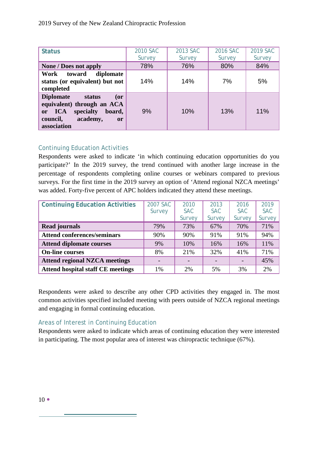| <b>Status</b>                                                                                                                                           | 2010 SAC | 2013 SAC | 2016 SAC | 2019 SAC |
|---------------------------------------------------------------------------------------------------------------------------------------------------------|----------|----------|----------|----------|
|                                                                                                                                                         | Survey   | Survey   | Survey   | Survey   |
| <b>None / Does not apply</b>                                                                                                                            | 78%      | 76%      | 80%      | 84%      |
| Work<br>toward<br>diplomate<br>status (or equivalent) but not<br>completed                                                                              | 14%      | 14%      | 7%       | 5%       |
| <b>Diplomate</b><br>status<br>$($ or<br>equivalent) through an ACA<br>or ICA<br>specialty<br>board,<br>academy,<br>council,<br><b>or</b><br>association | 9%       | 10%      | 13%      | 11%      |

#### <span id="page-10-0"></span>Continuing Education Activities

Respondents were asked to indicate 'in which continuing education opportunities do you participate?' In the 2019 survey, the trend continued with another large increase in the percentage of respondents completing online courses or webinars compared to previous surveys. For the first time in the 2019 survey an option of 'Attend regional NZCA meetings' was added. Forty-five percent of APC holders indicated they attend these meetings.

| <b>Continuing Education Activities</b>   | 2007 SAC | 2010       | 2013       | 2016       | 2019       |
|------------------------------------------|----------|------------|------------|------------|------------|
|                                          | Survey   | <b>SAC</b> | <b>SAC</b> | <b>SAC</b> | <b>SAC</b> |
|                                          |          | Survey     | Survey     | Survey     | Survey     |
| <b>Read journals</b>                     | 79%      | 73%        | 67%        | 70%        | 71%        |
| <b>Attend conferences/seminars</b>       | 90%      | 90%        | 91%        | 91%        | 94%        |
| <b>Attend diplomate courses</b>          | 9%       | 10%        | 16%        | 16%        | 11%        |
| <b>On-line courses</b>                   | 8%       | 21%        | 32%        | 41%        | 71%        |
| <b>Attend regional NZCA meetings</b>     |          |            |            |            | 45%        |
| <b>Attend hospital staff CE meetings</b> | 1%       | 2%         | 5%         | 3%         | 2%         |

Respondents were asked to describe any other CPD activities they engaged in. The most common activities specified included meeting with peers outside of NZCA regional meetings and engaging in formal continuing education.

# Areas of Interest in Continuing Education

Respondents were asked to indicate which areas of continuing education they were interested in participating. The most popular area of interest was chiropractic technique (67%).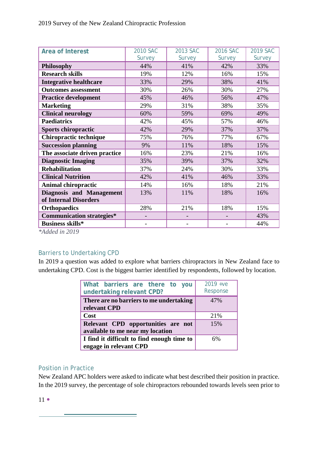| Area of Interest                 | 2010 SAC | 2013 SAC | 2016 SAC | 2019 SAC |
|----------------------------------|----------|----------|----------|----------|
|                                  | Survey   | Survey   | Survey   | Survey   |
| Philosophy                       | 44%      | 41%      | 42%      | 33%      |
| <b>Research skills</b>           | 19%      | 12%      | 16%      | 15%      |
| <b>Integrative healthcare</b>    | 33%      | 29%      | 38%      | 41%      |
| <b>Outcomes assessment</b>       | 30%      | 26%      | 30%      | 27%      |
| <b>Practice development</b>      | 45%      | 46%      | 56%      | 47%      |
| <b>Marketing</b>                 | 29%      | 31%      | 38%      | 35%      |
| <b>Clinical neurology</b>        | 60%      | 59%      | 69%      | 49%      |
| <b>Paediatrics</b>               | 42%      | 45%      | 57%      | 46%      |
| Sports chiropractic              | 42%      | 29%      | 37%      | 37%      |
| Chiropractic technique           | 75%      | 76%      | 77%      | 67%      |
| <b>Succession planning</b>       | 9%       | 11%      | 18%      | 15%      |
| The associate driven practice    | 16%      | 23%      | 21%      | 16%      |
| <b>Diagnostic Imaging</b>        | 35%      | 39%      | 37%      | 32%      |
| <b>Rehabilitation</b>            | 37%      | 24%      | 30%      | 33%      |
| <b>Clinical Nutrition</b>        | 42%      | 41%      | 46%      | 33%      |
| <b>Animal chiropractic</b>       | 14%      | 16%      | 18%      | 21%      |
| <b>Diagnosis and Management</b>  | 13%      | 11%      | 18%      | 16%      |
| of Internal Disorders            |          |          |          |          |
| <b>Orthopaedics</b>              | 28%      | 21%      | 18%      | 15%      |
| <b>Communication strategies*</b> |          |          |          | 43%      |
| <b>Business skills*</b>          |          |          |          | 44%      |

*\*Added in 2019*

# Barriers to Undertaking CPD

In 2019 a question was added to explore what barriers chiropractors in New Zealand face to undertaking CPD. Cost is the biggest barrier identified by respondents, followed by location.

| What barriers are there to you<br>undertaking relevant CPD?            | $2019 + v$ e<br>Response |
|------------------------------------------------------------------------|--------------------------|
| There are no barriers to me undertaking<br>relevant CPD                | 47%                      |
| Cost                                                                   | 21%                      |
| Relevant CPD opportunities are not<br>available to me near my location | 15%                      |
| I find it difficult to find enough time to<br>engage in relevant CPD   | 6%                       |

#### <span id="page-11-0"></span>Position in Practice

<u> Andrew Maria (1989)</u>

New Zealand APC holders were asked to indicate what best described their position in practice. In the 2019 survey, the percentage of sole chiropractors rebounded towards levels seen prior to

 $11$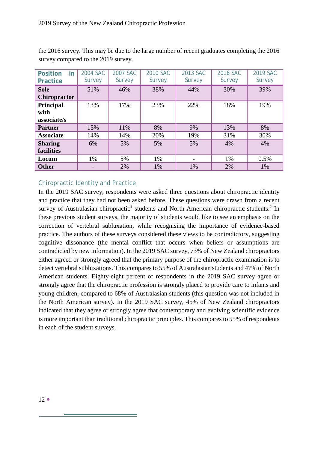| <b>Position</b><br>in<br><b>Practice</b> | 2004 SAC<br>Survey | 2007 SAC<br>Survey | <b>2010 SAC</b><br>Survey | 2013 SAC<br>Survey | 2016 SAC<br>Survey | 2019 SAC<br>Survey |
|------------------------------------------|--------------------|--------------------|---------------------------|--------------------|--------------------|--------------------|
| <b>Sole</b><br><b>Chiropractor</b>       | 51%                | 46%                | 38%                       | 44%                | 30%                | 39%                |
| <b>Principal</b><br>with<br>associate/s  | 13%                | 17%                | 23%                       | 22%                | 18%                | 19%                |
| <b>Partner</b>                           | 15%                | 11%                | 8%                        | 9%                 | 13%                | 8%                 |
| <b>Associate</b>                         | 14%                | 14%                | 20%                       | 19%                | 31%                | 30%                |
| <b>Sharing</b><br>facilities             | 6%                 | 5%                 | 5%                        | 5%                 | 4%                 | 4%                 |
| Locum                                    | 1%                 | 5%                 | 1%                        |                    | 1%                 | 0.5%               |
| <b>Other</b>                             |                    | 2%                 | 1%                        | 1%                 | 2%                 | 1%                 |

the 2016 survey. This may be due to the large number of recent graduates completing the 2016 survey compared to the 2019 survey.

# <span id="page-12-0"></span>Chiropractic Identity and Practice

In the 2019 SAC survey, respondents were asked three questions about chiropractic identity and practice that they had not been asked before. These questions were drawn from a recent survey of Australasian chiropractic<sup>1</sup> students and North American chiropractic students.<sup>2</sup> In these previous student surveys, the majority of students would like to see an emphasis on the correction of vertebral subluxation, while recognising the importance of evidence-based practice. The authors of these surveys considered these views to be contradictory, suggesting cognitive dissonance (the mental conflict that occurs when beliefs or assumptions are contradicted by new information). In the 2019 SAC survey, 73% of New Zealand chiropractors either agreed or strongly agreed that the primary purpose of the chiropractic examination is to detect vertebral subluxations. This compares to 55% of Australasian students and 47% of North American students. Eighty-eight percent of respondents in the 2019 SAC survey agree or strongly agree that the chiropractic profession is strongly placed to provide care to infants and young children, compared to 68% of Australasian students (this question was not included in the North American survey). In the 2019 SAC survey, 45% of New Zealand chiropractors indicated that they agree or strongly agree that contemporary and evolving scientific evidence is more important than traditional chiropractic principles. This compares to 55% of respondents in each of the student surveys.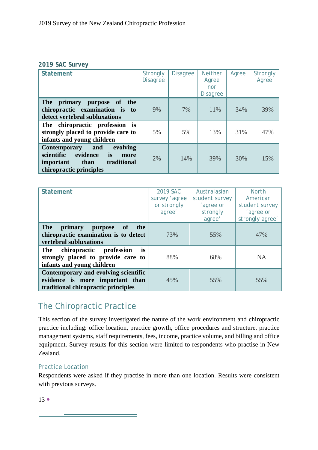#### *2019 SAC Survey*

| <b>Statement</b>                                                                                                                              | <b>Strongly</b><br><b>Disagree</b> | <b>Disagree</b> | <b>Neither</b><br>Agree<br>nor<br><b>Disagree</b> | Agree | <b>Strongly</b><br>Agree |
|-----------------------------------------------------------------------------------------------------------------------------------------------|------------------------------------|-----------------|---------------------------------------------------|-------|--------------------------|
| <b>The</b><br>primary<br>purpose<br>the<br>of<br>chiropractic examination is<br>to<br>detect vertebral subluxations                           | 9%                                 | 7%              | 11%                                               | 34%   | 39%                      |
| is<br>The chiropractic profession<br>strongly placed to provide care to<br>infants and young children                                         | 5%                                 | 5%              | 13%                                               | 31%   | 47%                      |
| <b>Contemporary</b><br>and<br>evolving<br>scientific<br>evidence<br>is<br>more<br>traditional<br>than<br>important<br>chiropractic principles | 2%                                 | 14%             | 39%                                               | 30%   | 15%                      |

| <b>Statement</b>                                                                                                 | 2019 SAC      | Australasian   | <b>North</b>    |
|------------------------------------------------------------------------------------------------------------------|---------------|----------------|-----------------|
|                                                                                                                  | survey 'agree | student survey | American        |
|                                                                                                                  | or strongly   | 'agree or      | student survey  |
|                                                                                                                  | agree'        | strongly       | 'agree or       |
|                                                                                                                  |               | agree'         | strongly agree' |
| <b>The</b><br>of<br>the<br>primary<br>purpose<br>chiropractic examination is to detect<br>vertebral subluxations | 73%           | 55%            | 47%             |
| <i>is</i><br>The<br>chiropractic profession<br>strongly placed to provide care to<br>infants and young children  | 88%           | 68%            | <b>NA</b>       |
| Contemporary and evolving scientific<br>evidence is more important than<br>traditional chiropractic principles   | 45%           | 55%            | 55%             |

# <span id="page-13-0"></span>The Chiropractic Practice

and the control of the control of the control of the control of the control of the control of the control of the

This section of the survey investigated the nature of the work environment and chiropractic practice including: office location, practice growth, office procedures and structure, practice management systems, staff requirements, fees, income, practice volume, and billing and office equipment. Survey results for this section were limited to respondents who practise in New Zealand.

#### <span id="page-13-1"></span>Practice Location

Respondents were asked if they practise in more than one location. Results were consistent with previous surveys.

 $13 \bullet$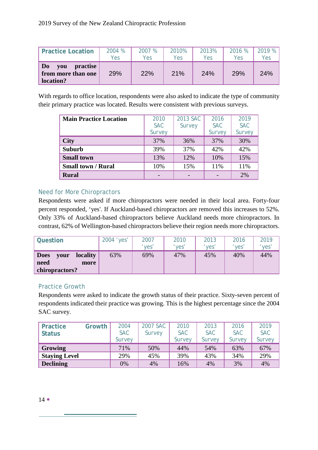| <b>Practice Location</b>                                             | 2004 % | 2007 % | 2010% | 2013% | 2016 % | 2019% |
|----------------------------------------------------------------------|--------|--------|-------|-------|--------|-------|
|                                                                      | Yes    | Yes    | Yes   | Yes   | Yes    | Yes   |
| D <sub>0</sub><br>practise<br>vou<br>from more than one<br>location? | 29%    | 22%    | 21%   | 24%   | 29%    | 24%   |

With regards to office location, respondents were also asked to indicate the type of community their primary practice was located. Results were consistent with previous surveys.

| <b>Main Practice Location</b> | 2010       | 2013 SAC | 2016       | 2019       |
|-------------------------------|------------|----------|------------|------------|
|                               | <b>SAC</b> | Survey   | <b>SAC</b> | <b>SAC</b> |
|                               | Survey     |          | Survey     | Survey     |
| <b>City</b>                   | 37%        | 36%      | 37%        | 30%        |
| <b>Suburb</b>                 | 39%        | 37%      | 42%        | 42%        |
| <b>Small town</b>             | 13%        | 12%      | 10%        | 15%        |
| <b>Small town / Rural</b>     | 10%        | 15%      | 11%        | 11%        |
| <b>Rural</b>                  |            |          |            | 2%         |

## <span id="page-14-0"></span>Need for More Chiropractors

Respondents were asked if more chiropractors were needed in their local area. Forty-four percent responded, 'yes'. If Auckland-based chiropractors are removed this increases to 52%. Only 33% of Auckland-based chiropractors believe Auckland needs more chiropractors. In contrast, 62% of Wellington-based chiropractors believe their region needs more chiropractors.

| Question                                                                 | 2004 'yes' | 2007<br>'ves' | 2010<br>'ves' | 2013<br>'ves' | 2016<br>'yes' | 2019<br>'yes' |
|--------------------------------------------------------------------------|------------|---------------|---------------|---------------|---------------|---------------|
| <b>locality</b><br><b>Does</b><br>vour<br>need<br>more<br>chiropractors? | 63%        | 69%           | 47%           | 45%           | 40%           | 44%           |

#### <span id="page-14-1"></span>Practice Growth

Respondents were asked to indicate the growth status of their practice. Sixty-seven percent of respondents indicated their practice was growing. This is the highest percentage since the 2004 SAC survey.

<span id="page-14-2"></span>

| <b>Practice</b><br>Status | Growth | 2004<br><b>SAC</b> | 2007 SAC<br>Survey | 2010<br><b>SAC</b> | 2013<br><b>SAC</b> | 2016<br><b>SAC</b> | 2019<br><b>SAC</b> |
|---------------------------|--------|--------------------|--------------------|--------------------|--------------------|--------------------|--------------------|
|                           |        | Survey             |                    | Survey             | Survey             | Survey             | Survey             |
| Growing                   |        | 71%                | 50%                | 44%                | 54%                | 63%                | 67%                |
| <b>Staying Level</b>      |        | 29%                | 45%                | 39%                | 43%                | 34%                | 29%                |
| <b>Declining</b>          |        | 0%                 | 4%                 | 16%                | 4%                 | 3%                 | 4%                 |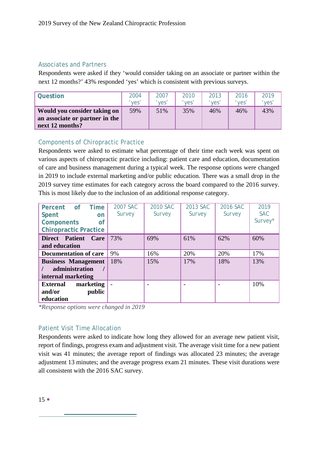#### Associates and Partners

Respondents were asked if they 'would consider taking on an associate or partner within the next 12 months?' 43% responded 'yes' which is consistent with previous surveys.

| <b>Question</b>                                                                   | 2004  | <i>2007</i> | 2010  | 2013  | 2016  | 2019  |
|-----------------------------------------------------------------------------------|-------|-------------|-------|-------|-------|-------|
|                                                                                   | 'ves' | 'ves'       | 'ves' | 'yes' | 'yes' | 'yes' |
| Would you consider taking on<br>an associate or partner in the<br>next 12 months? | 59%   | 51%         | 35%   | 46%   | 46%   | 43%   |

#### <span id="page-15-0"></span>Components of Chiropractic Practice

Respondents were asked to estimate what percentage of their time each week was spent on various aspects of chiropractic practice including: patient care and education, documentation of care and business management during a typical week. The response options were changed in 2019 to include external marketing and/or public education. There was a small drop in the 2019 survey time estimates for each category across the board compared to the 2016 survey. This is most likely due to the inclusion of an additional response category.

| Percent of Time<br>Spent<br>on<br><b>Components</b><br><b>of</b>   | 2007 SAC<br>Survey | 2010 SAC<br>Survey | 2013 SAC<br>Survey | 2016 SAC<br>Survey | 2019<br><b>SAC</b><br>Survey* |
|--------------------------------------------------------------------|--------------------|--------------------|--------------------|--------------------|-------------------------------|
| <b>Chiropractic Practice</b>                                       |                    |                    |                    |                    |                               |
| Direct Patient<br>Care<br>and education                            | 73%                | 69%                | 61%                | 62%                | 60%                           |
| <b>Documentation of care</b>                                       | 9%                 | 16%                | 20%                | 20%                | 17%                           |
| <b>Business Management</b><br>administration<br>internal marketing | 18%                | 15%                | 17%                | 18%                | 13%                           |
| marketing<br><b>External</b><br>public<br>and/or<br>education      |                    |                    |                    |                    | 10%                           |

*\*Response options were changed in 2019*

# <span id="page-15-1"></span>Patient Visit Time Allocation

Respondents were asked to indicate how long they allowed for an average new patient visit, report of findings, progress exam and adjustment visit. The average visit time for a new patient visit was 41 minutes; the average report of findings was allocated 23 minutes; the average adjustment 13 minutes; and the average progress exam 21 minutes. These visit durations were all consistent with the 2016 SAC survey.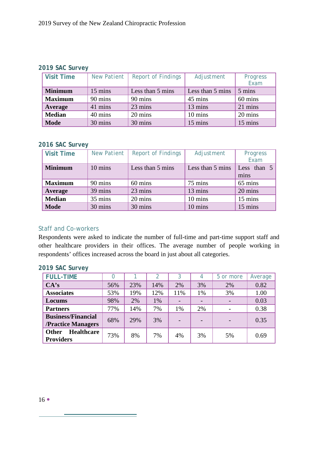#### *2019 SAC Survey*

| <b>Visit Time</b> | <b>New Patient</b> | <b>Report of Findings</b> | Adjustment       | Progress<br>Exam |
|-------------------|--------------------|---------------------------|------------------|------------------|
| <b>Minimum</b>    | 15 mins            | Less than 5 mins          | Less than 5 mins | 5 mins           |
| <b>Maximum</b>    | 90 mins            | 90 mins                   | 45 mins          | 60 mins          |
| Average           | 41 mins            | 23 mins                   | 13 mins          | 21 mins          |
| <b>Median</b>     | 40 mins            | 20 mins                   | 10 mins          | 20 mins          |
| <b>Mode</b>       | 30 mins            | 30 mins                   | 15 mins          | 15 mins          |

#### *2016 SAC Survey*

| <b>Visit Time</b> | <b>New Patient</b> | <b>Report of Findings</b> | Adjustment       | Progress<br>Exam    |
|-------------------|--------------------|---------------------------|------------------|---------------------|
| <b>Minimum</b>    | 10 mins            | Less than 5 mins          | Less than 5 mins | Less than 5<br>mins |
| <b>Maximum</b>    | 90 mins            | 60 mins                   | 75 mins          | 65 mins             |
| Average           | 39 mins            | 23 mins                   | 13 mins          | 20 mins             |
| <b>Median</b>     | 35 mins            | 20 mins                   | 10 mins          | 15 mins             |
| <b>Mode</b>       | 30 mins            | 30 mins                   | 10 mins          | 15 mins             |

#### <span id="page-16-0"></span>Staff and Co-workers

Respondents were asked to indicate the number of full-time and part-time support staff and other healthcare providers in their offices. The average number of people working in respondents' offices increased across the board in just about all categories.

| <b>FULL-TIME</b>                                       |     |     | $\mathcal{P}$ | 3   |    | 5 or more | Average |
|--------------------------------------------------------|-----|-----|---------------|-----|----|-----------|---------|
| CA's                                                   | 56% | 23% | 14%           | 2%  | 3% | 2%        | 0.82    |
| <b>Associates</b>                                      | 53% | 19% | 12%           | 11% | 1% | 3%        | 1.00    |
| Locums                                                 | 98% | 2%  | 1%            |     |    |           | 0.03    |
| <b>Partners</b>                                        | 77% | 14% | 7%            | 1%  | 2% |           | 0.38    |
| <b>Business/Financial</b><br><b>/Practice Managers</b> | 68% | 29% | 3%            |     |    |           | 0.35    |
| <b>Healthcare</b><br>Other<br><b>Providers</b>         | 73% | 8%  | 7%            | 4%  | 3% | 5%        | 0.69    |

 $\overline{\phantom{a}}$ 

# *2019 SAC Survey*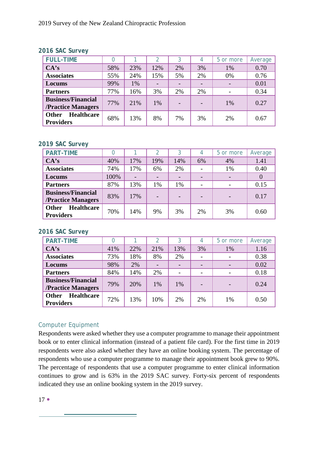#### *2016 SAC Survey*

| <b>FULL-TIME</b>                                       |     |     |     | 3  | 4  | 5 or more | Average |
|--------------------------------------------------------|-----|-----|-----|----|----|-----------|---------|
| CA's                                                   | 58% | 23% | 12% | 2% | 3% | 1%        | 0.70    |
| <b>Associates</b>                                      | 55% | 24% | 15% | 5% | 2% | 0%        | 0.76    |
| Locums                                                 | 99% | 1%  |     |    |    |           | 0.01    |
| <b>Partners</b>                                        | 77% | 16% | 3%  | 2% | 2% |           | 0.34    |
| <b>Business/Financial</b><br><b>/Practice Managers</b> | 77% | 21% | 1%  |    |    | 1%        | 0.27    |
| <b>Healthcare</b><br><b>Other</b><br><b>Providers</b>  | 68% | 13% | 8%  | 7% | 3% | 2%        | 0.67    |

#### *2019 SAC Survey*

| <b>PART-TIME</b>                                       |      |     | 2   | 3   | 4  | 5 or more | Average  |
|--------------------------------------------------------|------|-----|-----|-----|----|-----------|----------|
| CA's                                                   | 40%  | 17% | 19% | 14% | 6% | 4%        | 1.41     |
| <b>Associates</b>                                      | 74%  | 17% | 6%  | 2%  |    | 1%        | 0.40     |
| Locums                                                 | 100% |     |     |     |    |           | $\theta$ |
| <b>Partners</b>                                        | 87%  | 13% | 1%  | 1%  |    |           | 0.15     |
| <b>Business/Financial</b><br><b>/Practice Managers</b> | 83%  | 17% |     |     |    |           | 0.17     |
| <b>Healthcare</b><br><b>Other</b><br><b>Providers</b>  | 70%  | 14% | 9%  | 3%  | 2% | 3%        | 0.60     |

#### *2016 SAC Survey*

| <b>PART-TIME</b>                                      |     |     | 2   | 3   |    | 5 or more | Average |
|-------------------------------------------------------|-----|-----|-----|-----|----|-----------|---------|
| CA's                                                  | 41% | 22% | 21% | 13% | 3% | 1%        | 1.16    |
| <b>Associates</b>                                     | 73% | 18% | 8%  | 2%  |    |           | 0.38    |
| Locums                                                | 98% | 2%  |     |     |    |           | 0.02    |
| <b>Partners</b>                                       | 84% | 14% | 2%  |     |    |           | 0.18    |
| <b>Business/Financial</b><br>/Practice Managers       | 79% | 20% | 1%  | 1%  |    |           | 0.24    |
| <b>Healthcare</b><br><b>Other</b><br><b>Providers</b> | 72% | 13% | 10% | 2%  | 2% | 1%        | 0.50    |

# <span id="page-17-0"></span>Computer Equipment

and the control of the control of the control of the control of the control of the control of

Respondents were asked whether they use a computer programme to manage their appointment book or to enter clinical information (instead of a patient file card). For the first time in 2019 respondents were also asked whether they have an online booking system. The percentage of respondents who use a computer programme to manage their appointment book grew to 90%. The percentage of respondents that use a computer programme to enter clinical information continues to grow and is 63% in the 2019 SAC survey. Forty-six percent of respondents indicated they use an online booking system in the 2019 survey.

 $17 \bullet$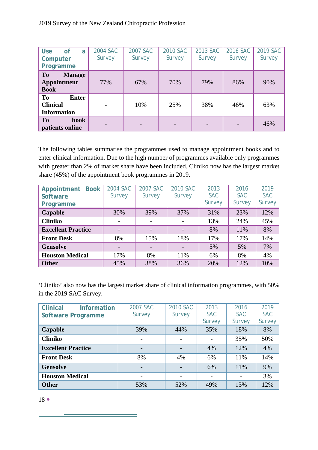| <b>Use</b><br><b>of</b><br>a<br>Computer<br>Programme       | 2004 SAC<br>Survey       | 2007 SAC<br>Survey | 2010 SAC<br>Survey | 2013 SAC<br>Survey | 2016 SAC<br>Survey | 2019 SAC<br>Survey |
|-------------------------------------------------------------|--------------------------|--------------------|--------------------|--------------------|--------------------|--------------------|
| To<br><b>Manage</b><br><b>Appointment</b><br><b>Book</b>    | 77%                      | 67%                | 70%                | 79%                | 86%                | 90%                |
| To<br><b>Enter</b><br><b>Clinical</b><br><b>Information</b> | $\overline{\phantom{0}}$ | 10%                | 25%                | 38%                | 46%                | 63%                |
| To<br><b>book</b><br>patients online                        |                          |                    |                    |                    |                    | 46%                |

The following tables summarise the programmes used to manage appointment books and to enter clinical information. Due to the high number of programmes available only programmes with greater than 2% of market share have been included. Cliniko now has the largest market share (45%) of the appointment book programmes in 2019.

| <b>Book</b><br>Appointment<br>Software<br>Programme | 2004 SAC<br>Survey | 2007 SAC<br>Survey | 2010 SAC<br>Survey | 2013<br><b>SAC</b><br>Survey | 2016<br><b>SAC</b><br>Survey | 2019<br><b>SAC</b><br>Survey |
|-----------------------------------------------------|--------------------|--------------------|--------------------|------------------------------|------------------------------|------------------------------|
| Capable                                             | 30%                | 39%                | 37%                | 31%                          | 23%                          | 12%                          |
| <b>Cliniko</b>                                      |                    |                    |                    | 13%                          | 24%                          | 45%                          |
| <b>Excellent Practice</b>                           |                    |                    |                    | 8%                           | 11%                          | 8%                           |
| <b>Front Desk</b>                                   | 8%                 | 15%                | 18%                | 17%                          | 17%                          | 14%                          |
| <b>Gensolve</b>                                     |                    |                    |                    | 5%                           | 5%                           | 7%                           |
| <b>Houston Medical</b>                              | 17%                | 8%                 | 11%                | 6%                           | 8%                           | 4%                           |
| <b>Other</b>                                        | 45%                | 38%                | 36%                | 20%                          | 12%                          | 10%                          |

'Cliniko' also now has the largest market share of clinical information programmes, with 50% in the 2019 SAC Survey.

| <b>Clinical</b><br><b>Information</b> | 2007 SAC | 2010 SAC | 2013       | 2016       | 2019       |
|---------------------------------------|----------|----------|------------|------------|------------|
| <b>Software Programme</b>             | Survey   | Survey   | <b>SAC</b> | <b>SAC</b> | <b>SAC</b> |
|                                       |          |          | Survey     | Survey     | Survey     |
| Capable                               | 39%      | 44%      | 35%        | 18%        | 8%         |
| <b>Cliniko</b>                        |          |          |            | 35%        | 50%        |
| <b>Excellent Practice</b>             |          |          | 4%         | 12%        | 4%         |
| <b>Front Desk</b>                     | 8%       | 4%       | 6%         | 11%        | 14%        |
| <b>Gensolve</b>                       |          |          | 6%         | 11%        | 9%         |
| <b>Houston Medical</b>                |          |          |            |            | 3%         |
| <b>Other</b>                          | 53%      | 52%      | 49%        | 13%        | 12%        |

18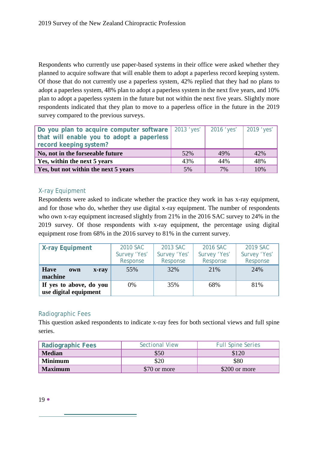Respondents who currently use paper-based systems in their office were asked whether they planned to acquire software that will enable them to adopt a paperless record keeping system. Of those that do not currently use a paperless system, 42% replied that they had no plans to adopt a paperless system, 48% plan to adopt a paperless system in the next five years, and 10% plan to adopt a paperless system in the future but not within the next five years. Slightly more respondents indicated that they plan to move to a paperless office in the future in the 2019 survey compared to the previous surveys.

| Do you plan to acquire computer software   2013 'yes'  <br>that will enable you to adopt a paperless<br>record keeping system? |     | 2016 'yes'   2019 'yes' |     |
|--------------------------------------------------------------------------------------------------------------------------------|-----|-------------------------|-----|
| No, not in the forseeable future                                                                                               | 52% | 49%                     | 42% |
| Yes, within the next 5 years                                                                                                   | 43% | 44%                     | 48% |
| Yes, but not within the next 5 years                                                                                           | 5%  | 7%                      | 10% |

## X-ray Equipment

Respondents were asked to indicate whether the practice they work in has x-ray equipment, and for those who do, whether they use digital x-ray equipment. The number of respondents who own x-ray equipment increased slightly from 21% in the 2016 SAC survey to 24% in the 2019 survey. Of those respondents with x-ray equipment, the percentage using digital equipment rose from 68% in the 2016 survey to 81% in the current survey.

<span id="page-19-0"></span>

| <b>X-ray Equipment</b>                 | 2010 SAC     | 2013 SAC     | 2016 SAC     | 2019 SAC     |
|----------------------------------------|--------------|--------------|--------------|--------------|
|                                        | Survey 'Yes' | Survey 'Yes' | Survey 'Yes' | Survey 'Yes' |
|                                        | Response     | Response     | Response     | Response     |
| <b>Have</b><br>x-ray<br>own<br>machine | 55%          | 32%          | 21%          | 24%          |
| If yes to above, do you                | $0\%$        | 35%          | 68%          | 81%          |
| use digital equipment                  |              |              |              |              |

#### <span id="page-19-1"></span>Radiographic Fees

This question asked respondents to indicate x-ray fees for both sectional views and full spine series.

| Radiographic Fees | <b>Sectional View</b> | <b>Full Spine Series</b> |
|-------------------|-----------------------|--------------------------|
| <b>Median</b>     | \$50                  | \$120                    |
| <b>Minimum</b>    | \$20                  | \$80                     |
| <b>Maximum</b>    | \$70 or more          | \$200 or more            |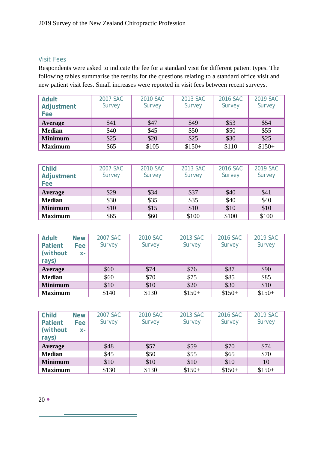#### <span id="page-20-0"></span>Visit Fees

Respondents were asked to indicate the fee for a standard visit for different patient types. The following tables summarise the results for the questions relating to a standard office visit and new patient visit fees. Small increases were reported in visit fees between recent surveys.

| <b>Adult</b><br>Adjustment<br>Fee | 2007 SAC<br>Survey | 2010 SAC<br>Survey | 2013 SAC<br>Survey | 2016 SAC<br>Survey | 2019 SAC<br>Survey |
|-----------------------------------|--------------------|--------------------|--------------------|--------------------|--------------------|
| Average                           | \$41               | \$47               | \$49               | \$53               | \$54               |
| <b>Median</b>                     | \$40               | \$45               | \$50               | \$50               | \$55               |
| <b>Minimum</b>                    | \$25               | \$20               | \$25               | \$30               | \$25               |
| <b>Maximum</b>                    | \$65               | \$105              | $$150+$            | \$110              | $$150+$            |

| <b>Child</b><br>Adjustment<br>Fee | 2007 SAC<br>Survey | 2010 SAC<br>Survey | 2013 SAC<br>Survey | 2016 SAC<br>Survey | 2019 SAC<br>Survey |
|-----------------------------------|--------------------|--------------------|--------------------|--------------------|--------------------|
| <b>Average</b>                    | \$29               | \$34               | \$37               | \$40               | \$41               |
| <b>Median</b>                     | \$30               | \$35               | \$35               | \$40               | \$40               |
| <b>Minimum</b>                    | \$10               | \$15               | \$10               | \$10               | \$10               |
| <b>Maximum</b>                    | \$65               | \$60               | \$100              | \$100              | \$100              |

| Adult<br><b>Patient</b><br>(without)<br>rays) | <b>New</b><br>Fee<br>$X -$ | 2007 SAC<br>Survey | 2010 SAC<br>Survey | 2013 SAC<br>Survey | 2016 SAC<br>Survey | 2019 SAC<br>Survey |
|-----------------------------------------------|----------------------------|--------------------|--------------------|--------------------|--------------------|--------------------|
| Average                                       |                            | \$60               | \$74               | \$76               | \$87               | \$90               |
| <b>Median</b>                                 |                            | \$60               | \$70               | \$75               | \$85               | \$85               |
| <b>Minimum</b>                                |                            | \$10               | \$10               | \$20               | \$30               | \$10               |
| <b>Maximum</b>                                |                            | \$140              | \$130              | $$150+$            | $$150+$            | $$150+$            |

<span id="page-20-1"></span>

| <b>Child</b><br><b>Patient</b><br>(without<br>rays) | <b>New</b><br><b>Fee</b><br>$X -$ | 2007 SAC<br>Survey | 2010 SAC<br>Survey | 2013 SAC<br>Survey | 2016 SAC<br>Survey | 2019 SAC<br>Survey |
|-----------------------------------------------------|-----------------------------------|--------------------|--------------------|--------------------|--------------------|--------------------|
| Average                                             |                                   | \$48               | \$57               | \$59               | \$70               | \$74               |
| <b>Median</b>                                       |                                   | \$45               | \$50               | \$55               | \$65               | \$70               |
| <b>Minimum</b>                                      |                                   | \$10               | \$10               | \$10               | \$10               | 10                 |
| <b>Maximum</b>                                      |                                   | \$130              | \$130              | $$150+$            | $$150+$            | $$150+$            |

۰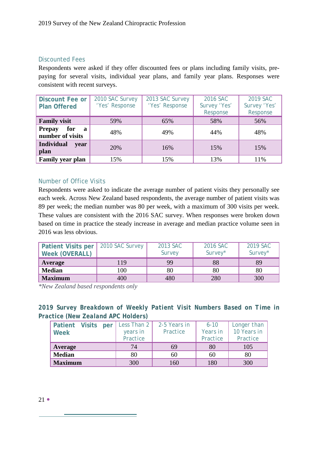#### Discounted Fees

Respondents were asked if they offer discounted fees or plans including family visits, prepaying for several visits, individual year plans, and family year plans. Responses were consistent with recent surveys.

| <b>Discount Fee or</b><br><b>Plan Offered</b>            | 2010 SAC Survey<br>'Yes' Response | 2013 SAC Survey<br>'Yes' Response | 2016 SAC<br>Survey 'Yes'<br>Response | 2019 SAC<br>Survey 'Yes'<br>Response |
|----------------------------------------------------------|-----------------------------------|-----------------------------------|--------------------------------------|--------------------------------------|
| <b>Family visit</b>                                      | 59%                               | 65%                               | 58%                                  | 56%                                  |
| for<br><b>Prepay</b><br>$\mathbf{a}$<br>number of visits | 48%                               | 49%                               | 44%                                  | 48%                                  |
| <b>Individual</b><br>vear<br>plan                        | 20%                               | 16%                               | 15%                                  | 15%                                  |
| Family year plan                                         | 15%                               | 15%                               | 13%                                  | 11%                                  |

#### <span id="page-21-0"></span>Number of Office Visits

Respondents were asked to indicate the average number of patient visits they personally see each week. Across New Zealand based respondents, the average number of patient visits was 89 per week; the median number was 80 per week, with a maximum of 300 visits per week. These values are consistent with the 2016 SAC survey. When responses were broken down based on time in practice the steady increase in average and median practice volume seen in 2016 was less obvious.

| <b>Patient Visits per</b><br><b>Week (OVERALL)</b> | 2010 SAC Survey | 2013 SAC<br>Survey | 2016 SAC<br>Survey* | 2019 SAC<br>Survey* |
|----------------------------------------------------|-----------------|--------------------|---------------------|---------------------|
| Average                                            | 119             | 99                 | 88                  | 89                  |
| <b>Median</b>                                      | 100             | 80                 | 80                  | 80                  |
| <b>Maximum</b>                                     | 400             | 480                | 280                 | 300                 |

*\*New Zealand based respondents only*

*2019 Survey Breakdown of Weekly Patient Visit Numbers Based on Time in Practice (New Zealand APC Holders)*

| Patient Visits<br>per<br><b>Week</b> | Less Than $2$<br>years in<br>Practice | 2-5 Years in<br>Practice | $6 - 10$<br>Years in<br>Practice | Longer than<br>10 Years in<br>Practice |
|--------------------------------------|---------------------------------------|--------------------------|----------------------------------|----------------------------------------|
| <b>Average</b>                       | 74                                    | 69                       | 80                               | 105                                    |
| <b>Median</b>                        | 80                                    | 60                       | 60                               | 80                                     |
| <b>Maximum</b>                       | 300                                   | 160                      | 180                              | 300                                    |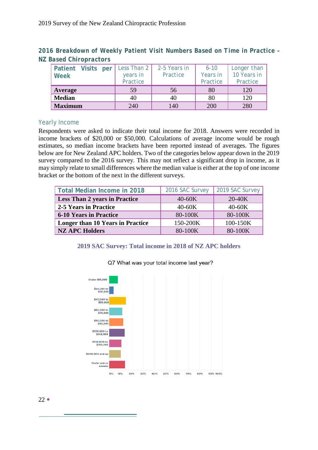*2016 Breakdown of Weekly Patient Visit Numbers Based on Time in Practice – NZ Based Chiropractors*

| <b>Patient Visits per</b><br>Week | Less Than 2<br>years in<br>Practice | 2-5 Years in<br>Practice | $6 - 10$<br>Years in<br>Practice | Longer than<br>10 Years in<br>Practice |
|-----------------------------------|-------------------------------------|--------------------------|----------------------------------|----------------------------------------|
| Average                           | 59                                  | 56                       | 80                               | 120                                    |
| <b>Median</b>                     | 40                                  | 40                       | 80                               | 120                                    |
| <b>Maximum</b>                    | 240                                 | 140                      | 200                              | 280                                    |

#### <span id="page-22-0"></span>Yearly Income

Respondents were asked to indicate their total income for 2018. Answers were recorded in income brackets of \$20,000 or \$50,000. Calculations of average income would be rough estimates, so median income brackets have been reported instead of averages. The figures below are for New Zealand APC holders. Two of the categories below appear down in the 2019 survey compared to the 2016 survey. This may not reflect a significant drop in income, as it may simply relate to small differences where the median value is either at the top of one income bracket or the bottom of the next in the different surveys.

| <b>Total Median Income in 2018</b>      | 2016 SAC Survey | 2019 SAC Survey |
|-----------------------------------------|-----------------|-----------------|
| <b>Less Than 2 years in Practice</b>    | $40-60K$        | $20-40K$        |
| 2-5 Years in Practice                   | $40-60K$        | $40-60K$        |
| <b>6-10 Years in Practice</b>           | 80-100K         | 80-100K         |
| <b>Longer than 10 Years in Practice</b> | 150-200K        | 100-150K        |
| <b>NZ APC Holders</b>                   | 80-100K         | 80-100K         |

#### **2019 SAC Survey: Total income in 2018 of NZ APC holders**



#### Q7 What was your total income last year?

 $22 \bullet$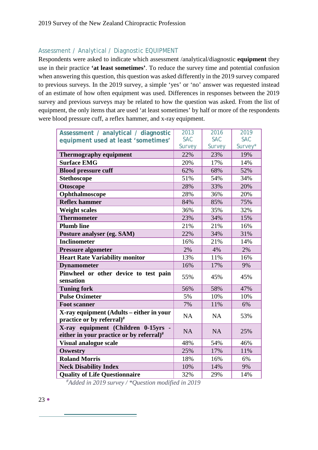# <span id="page-23-0"></span>Assessment / Analytical / Diagnostic EQUIPMENT

Respondents were asked to indicate which assessment /analytical/diagnostic **equipment** they use in their practice **'at least sometimes'**. To reduce the survey time and potential confusion when answering this question, this question was asked differently in the 2019 survey compared to previous surveys. In the 2019 survey, a simple 'yes' or 'no' answer was requested instead of an estimate of how often equipment was used. Differences in responses between the 2019 survey and previous surveys may be related to how the question was asked. From the list of equipment, the only items that are used 'at least sometimes' by half or more of the respondents were blood pressure cuff, a reflex hammer, and x-ray equipment.

| Assessment / analytical / diagnostic                                             | 2013       | 2016       | 2019       |
|----------------------------------------------------------------------------------|------------|------------|------------|
| equipment used at least 'sometimes'                                              | <b>SAC</b> | <b>SAC</b> | <b>SAC</b> |
|                                                                                  | Survey     | Survey     | Survey*    |
| <b>Thermography equipment</b>                                                    | 22%        | 23%        | 19%        |
| <b>Surface EMG</b>                                                               | 20%        | 17%        | 14%        |
| <b>Blood pressure cuff</b>                                                       | 62%        | 68%        | 52%        |
| <b>Stethoscope</b>                                                               | 51%        | 54%        | 34%        |
| <b>Otoscope</b>                                                                  | 28%        | 33%        | 20%        |
| Ophthalmoscope                                                                   | 28%        | 36%        | 20%        |
| <b>Reflex hammer</b>                                                             | 84%        | 85%        | 75%        |
| <b>Weight scales</b>                                                             | 36%        | 35%        | 32%        |
| <b>Thermometer</b>                                                               | 23%        | 34%        | 15%        |
| <b>Plumb line</b>                                                                | 21%        | 21%        | 16%        |
| Posture analyser (eg. SAM)                                                       | 22%        | 34%        | 31%        |
| <b>Inclinometer</b>                                                              | 16%        | 21%        | 14%        |
| <b>Pressure algometer</b>                                                        | 2%         | 4%         | 2%         |
| <b>Heart Rate Variability monitor</b>                                            | 13%        | 11%        | 16%        |
| <b>Dynamometer</b>                                                               | 16%        | 17%        | 9%         |
| Pinwheel or other device to test pain                                            | 55%        | 45%        | 45%        |
| sensation                                                                        |            |            |            |
| <b>Tuning fork</b>                                                               | 56%        | 58%        | 47%        |
| <b>Pulse Oximeter</b>                                                            | 5%         | 10%        | 10%        |
| <b>Foot scanner</b>                                                              | 7%         | 11%        | 6%         |
| X-ray equipment (Adults – either in your<br>practice or by referral)#            | <b>NA</b>  | <b>NA</b>  | 53%        |
| X-ray equipment (Children 0-15yrs<br>either in your practice or by referral) $#$ | <b>NA</b>  | <b>NA</b>  | 25%        |
| <b>Visual analogue scale</b>                                                     | 48%        | 54%        | 46%        |
| <b>Oswestry</b>                                                                  | 25%        | 17%        | 11%        |
| <b>Roland Morris</b>                                                             | 18%        | 16%        | 6%         |
| <b>Neck Disability Index</b>                                                     | 10%        | 14%        | 9%         |
| <b>Quality of Life Questionnaire</b>                                             | 32%        | 29%        | 14%        |

 *# Added in 2019 survey / \*Question modified in 2019*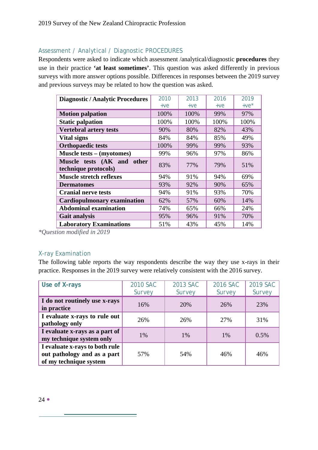## <span id="page-24-0"></span>Assessment / Analytical / Diagnostic PROCEDURES

Respondents were asked to indicate which assessment /analytical/diagnostic **procedures** they use in their practice **'at least sometimes'**. This question was asked differently in previous surveys with more answer options possible. Differences in responses between the 2019 survey and previous surveys may be related to how the question was asked.

| <b>Diagnostic / Analytic Procedures</b>               | 2010  | 2013  | 2016  | 2019    |
|-------------------------------------------------------|-------|-------|-------|---------|
|                                                       | $+ve$ | $+ve$ | $+ve$ | $+ve^*$ |
| <b>Motion palpation</b>                               | 100%  | 100%  | 99%   | 97%     |
| <b>Static palpation</b>                               | 100%  | 100%  | 100%  | 100%    |
| <b>Vertebral artery tests</b>                         | 90%   | 80%   | 82%   | 43%     |
| Vital signs                                           | 84%   | 84%   | 85%   | 49%     |
| <b>Orthopaedic tests</b>                              | 100%  | 99%   | 99%   | 93%     |
| Muscle tests – (myotomes)                             | 99%   | 96%   | 97%   | 86%     |
| Muscle tests (AK and<br>other<br>technique protocols) | 83%   | 77%   | 79%   | 51%     |
| <b>Muscle stretch reflexes</b>                        | 94%   | 91%   | 94%   | 69%     |
| <b>Dermatomes</b>                                     | 93%   | 92%   | 90%   | 65%     |
| <b>Cranial nerve tests</b>                            | 94%   | 91%   | 93%   | 70%     |
| <b>Cardiopulmonary examination</b>                    | 62%   | 57%   | 60%   | 14%     |
| <b>Abdominal examination</b>                          | 74%   | 65%   | 66%   | 24%     |
| <b>Gait analysis</b>                                  | 95%   | 96%   | 91%   | 70%     |
| <b>Laboratory Examinations</b>                        | 51%   | 43%   | 45%   | 14%     |

*\*Question modified in 2019*

#### X-ray Examination

The following table reports the way respondents describe the way they use x-rays in their practice. Responses in the 2019 survey were relatively consistent with the 2016 survey.

<span id="page-24-1"></span>

| Use of X-rays                                                                           | 2010 SAC<br>Survey | 2013 SAC<br>Survey | 2016 SAC<br>Survey | 2019 SAC<br>Survey |
|-----------------------------------------------------------------------------------------|--------------------|--------------------|--------------------|--------------------|
| I do not routinely use x-rays<br>in practice                                            | 16%                | 20%                | 26%                | 23%                |
| I evaluate x-rays to rule out<br>pathology only                                         | 26%                | 26%                | 27%                | 31%                |
| I evaluate x-rays as a part of<br>my technique system only                              | 1%                 | 1%                 | 1%                 | 0.5%               |
| I evaluate x-rays to both rule<br>out pathology and as a part<br>of my technique system | 57%                | 54%                | 46%                | 46%                |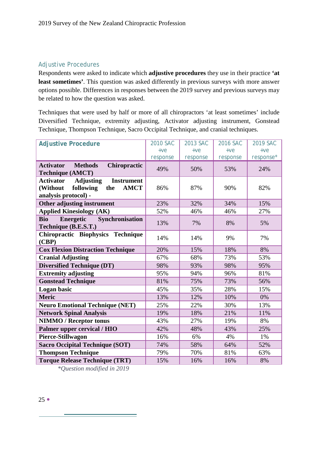#### Adjustive Procedures

Respondents were asked to indicate which **adjustive procedures** they use in their practice **'at least sometimes'**. This question was asked differently in previous surveys with more answer options possible. Differences in responses between the 2019 survey and previous surveys may be related to how the question was asked.

Techniques that were used by half or more of all chiropractors 'at least sometimes' include Diversified Technique, extremity adjusting, Activator adjusting instrument, Gonstead Technique, Thompson Technique, Sacro Occipital Technique, and cranial techniques.

<span id="page-25-0"></span>

| <b>Adjustive Procedure</b>                                | 2010 SAC | 2013 SAC | 2016 SAC | 2019 SAC  |
|-----------------------------------------------------------|----------|----------|----------|-----------|
|                                                           | $+ve$    | $+ve$    | $+ve$    | $+ve$     |
|                                                           | response | response | response | response* |
| <b>Activator</b><br><b>Methods</b><br>Chiropractic        |          |          |          |           |
| <b>Technique (AMCT)</b>                                   | 49%      | 50%      | 53%      | 24%       |
| <b>Instrument</b><br><b>Activator</b><br><b>Adjusting</b> |          |          |          |           |
| following<br>(Without<br><b>AMCT</b><br>the               | 86%      | 87%      | 90%      | 82%       |
| analysis protocol) -                                      |          |          |          |           |
| Other adjusting instrument                                | 23%      | 32%      | 34%      | 15%       |
| <b>Applied Kinesiology (AK)</b>                           | 52%      | 46%      | 46%      | 27%       |
| Energetic<br>Synchronisation<br><b>Bio</b>                | 13%      | 7%       | 8%       | 5%        |
| Technique (B.E.S.T.)                                      |          |          |          |           |
| Chiropractic Biophysics Technique                         | 14%      | 14%      | 9%       | 7%        |
| (CBP)                                                     |          |          |          |           |
| <b>Cox Flexion Distraction Technique</b>                  | 20%      | 15%      | 18%      | 8%        |
| <b>Cranial Adjusting</b>                                  | 67%      | 68%      | 73%      | 53%       |
| <b>Diversified Technique (DT)</b>                         | 98%      | 93%      | 98%      | 95%       |
| <b>Extremity adjusting</b>                                | 95%      | 94%      | 96%      | 81%       |
| <b>Gonstead Technique</b>                                 | 81%      | 75%      | 73%      | 56%       |
| Logan basic                                               | 45%      | 35%      | 28%      | 15%       |
| <b>Meric</b>                                              | 13%      | 12%      | 10%      | 0%        |
| <b>Neuro Emotional Technique (NET)</b>                    | 25%      | 22%      | 30%      | 13%       |
| <b>Network Spinal Analysis</b>                            | 19%      | 18%      | 21%      | 11%       |
| <b>NIMMO / Receptor tonus</b>                             | 43%      | 27%      | 19%      | 8%        |
| Palmer upper cervical / HIO                               | 42%      | 48%      | 43%      | 25%       |
| Pierce-Stillwagon                                         | 16%      | 6%       | 4%       | 1%        |
| <b>Sacro Occipital Technique (SOT)</b>                    | 74%      | 58%      | 64%      | 52%       |
| <b>Thompson Technique</b>                                 | 79%      | 70%      | 81%      | 63%       |
| <b>Torque Release Technique (TRT)</b>                     | 15%      | 16%      | 16%      | 8%        |

*\*Question modified in 2019*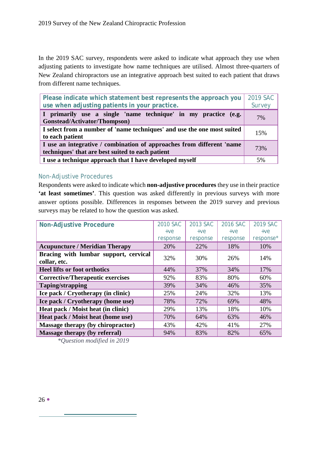In the 2019 SAC survey, respondents were asked to indicate what approach they use when adjusting patients to investigate how name techniques are utilised. Almost three-quarters of New Zealand chiropractors use an integrative approach best suited to each patient that draws from different name techniques.

| Please indicate which statement best represents the approach you<br>use when adjusting patients in your practice.         | 2019 SAC<br>Survey |  |
|---------------------------------------------------------------------------------------------------------------------------|--------------------|--|
| I primarily use a single 'name technique' in my practice (e.g.<br>Gonstead/Activator/Thompson)                            | 7%                 |  |
| I select from a number of 'name techniques' and use the one most suited<br>to each patient                                |                    |  |
| I use an integrative / combination of approaches from different 'name<br>techniques' that are best suited to each patient |                    |  |
| I use a technique approach that I have developed myself                                                                   | 5%                 |  |

#### Non-Adjustive Procedures

Respondents were asked to indicate which **non-adjustive procedures** they use in their practice **'at least sometimes'**. This question was asked differently in previous surveys with more answer options possible. Differences in responses between the 2019 survey and previous surveys may be related to how the question was asked.

<span id="page-26-0"></span>

| <b>Non-Adjustive Procedure</b>                        | 2010 SAC | 2013 SAC | 2016 SAC | 2019 SAC  |
|-------------------------------------------------------|----------|----------|----------|-----------|
|                                                       | $+ve$    | $+ve$    | $+ve$    | $+ve$     |
|                                                       | response | response | response | response* |
| <b>Acupuncture / Meridian Therapy</b>                 | 20%      | 22%      | 18%      | 10%       |
| Bracing with lumbar support, cervical<br>collar, etc. | 32%      | 30%      | 26%      | 14%       |
| <b>Heel lifts or foot orthotics</b>                   | 44%      | 37%      | 34%      | 17%       |
| <b>Corrective/Therapeutic exercises</b>               | 92%      | 83%      | 80%      | 60%       |
| <b>Taping/strapping</b>                               | 39%      | 34%      | 46%      | 35%       |
| Ice pack / Cryotherapy (in clinic)                    | 25%      | 24%      | 32%      | 13%       |
| Ice pack / Cryotherapy (home use)                     | 78%      | 72%      | 69%      | 48%       |
| Heat pack / Moist heat (in clinic)                    | 29%      | 13%      | 18%      | 10%       |
| Heat pack / Moist heat (home use)                     | 70%      | 64%      | 63%      | 46%       |
| Massage therapy (by chiropractor)                     | 43%      | 42%      | 41%      | 27%       |
| Massage therapy (by referral)                         | 94%      | 83%      | 82%      | 65%       |

<span id="page-26-1"></span>*\*Question modified in 2019*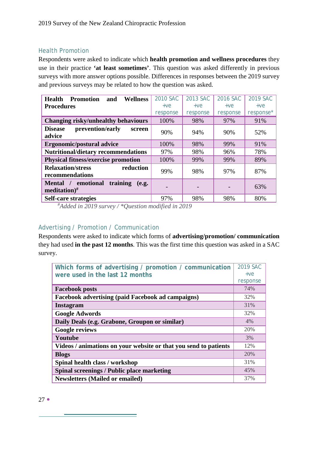#### Health Promotion

Respondents were asked to indicate which **health promotion and wellness procedures** they use in their practice **'at least sometimes'**. This question was asked differently in previous surveys with more answer options possible. Differences in responses between the 2019 survey and previous surveys may be related to how the question was asked.

| <b>Wellness</b><br><b>Health</b><br><b>Promotion</b><br>and | 2010 SAC | 2013 SAC | 2016 SAC | 2019 SAC  |
|-------------------------------------------------------------|----------|----------|----------|-----------|
| <b>Procedures</b>                                           | $+ve$    | $+ve$    | $+ve$    | $+ve$     |
|                                                             | response | response | response | response* |
| Changing risky/unhealthy behaviours                         | 100%     | 98%      | 97%      | 91%       |
| prevention/early<br><b>Disease</b><br>screen<br>advice      | 90%      | 94%      | 90%      | 52%       |
| <b>Ergonomic/postural advice</b>                            | 100%     | 98%      | 99%      | 91%       |
| <b>Nutritional/dietary recommendations</b>                  | 97%      | 98%      | 96%      | 78%       |
| <b>Physical fitness/exercise promotion</b>                  | 100%     | 99%      | 99%      | 89%       |
| <b>Relaxation/stress</b><br>reduction<br>recommendations    | 99%      | 98%      | 97%      | 87%       |
| Mental / emotional<br>training<br>(e.g.<br>meditation) $#$  |          |          |          | 63%       |
| <b>Self-care strategies</b>                                 | 97%      | 98%      | 98%      | 80%       |

*# Added in 2019 survey / \*Question modified in 2019*

#### <span id="page-27-0"></span>Advertising / Promotion / Communication

Respondents were asked to indicate which forms of **advertising/promotion/ communication** they had used **in the past 12 months**. This was the first time this question was asked in a SAC survey.

| Which forms of advertising / promotion / communication           | 2019 SAC |
|------------------------------------------------------------------|----------|
| were used in the last 12 months                                  | $+ve$    |
|                                                                  | response |
| <b>Facebook posts</b>                                            | 74%      |
| <b>Facebook advertising (paid Facebook ad campaigns)</b>         | 32%      |
| <b>Instagram</b>                                                 | 31%      |
| <b>Google Adwords</b>                                            | 32%      |
| Daily Deals (e.g. Grabone, Groupon or similar)                   | 4%       |
| <b>Google reviews</b>                                            | 20%      |
| Youtube                                                          | 3%       |
| Videos / animations on your website or that you send to patients | 12%      |
| <b>Blogs</b>                                                     | 20%      |
| Spinal health class / workshop                                   | 31%      |
| Spinal screenings / Public place marketing                       | 45%      |
| <b>Newsletters (Mailed or emailed)</b>                           | 37%      |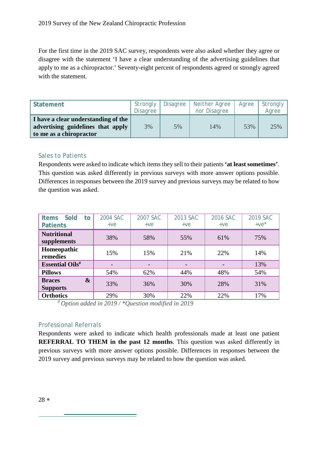For the first time in the 2019 SAC survey, respondents were also asked whether they agree or disagree with the statement 'I have a clear understanding of the advertising guidelines that apply to me as a chiropractor.' Seventy-eight percent of respondents agreed or strongly agreed with the statement.

| <b>Statement</b>                                                                                    | Strongly<br><b>Disagree</b> | Disagree | Neither Agree<br>nor Disagree | Agree | Strongly<br>Agree |
|-----------------------------------------------------------------------------------------------------|-----------------------------|----------|-------------------------------|-------|-------------------|
| I have a clear understanding of the<br>advertising guidelines that apply<br>to me as a chiropractor | 3%                          | 5%       | 14%                           | 53%   | 25%               |

#### <span id="page-28-0"></span>Sales to Patients

Respondents were asked to indicate which items they sell to their patients **'at least sometimes'**. This question was asked differently in previous surveys with more answer options possible. Differences in responses between the 2019 survey and previous surveys may be related to how the question was asked.

| <b>Sold</b><br><b>Items</b><br>to<br><b>Patients</b>  | 2004 SAC<br>$+ve$ | 2007 SAC<br>$+ve$ | 2013 SAC<br>$+ve$ | 2016 SAC<br>$+ve$ | 2019 SAC<br>$+ve^*$ |
|-------------------------------------------------------|-------------------|-------------------|-------------------|-------------------|---------------------|
| <b>Nutritional</b><br>supplements                     | 38%               | 58%               | 55%               | 61%               | 75%                 |
| Homeopathic<br>remedies                               | 15%               | 15%               | 21%               | 22%               | 14%                 |
| <b>Essential Oils#</b>                                |                   |                   |                   |                   | 13%                 |
| <b>Pillows</b>                                        | 54%               | 62%               | 44%               | 48%               | 54%                 |
| $\boldsymbol{\&}$<br><b>Braces</b><br><b>Supports</b> | 33%               | 36%               | 30%               | 28%               | 31%                 |
| <b>Orthotics</b>                                      | 29%               | 30%               | 22%               | 22%               | 17%                 |

*# Option added in 2019 / \*Question modified in 2019*

#### <span id="page-28-1"></span>Professional Referrals

Respondents were asked to indicate which health professionals made at least one patient **REFERRAL TO THEM in the past 12 months**. This question was asked differently in previous surveys with more answer options possible. Differences in responses between the 2019 survey and previous surveys may be related to how the question was asked.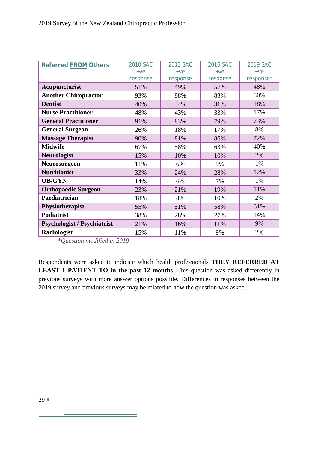| <b>Referred FROM Others</b>        | 2010 SAC | 2013 SAC | 2016 SAC | 2019 SAC  |
|------------------------------------|----------|----------|----------|-----------|
|                                    | $+ve$    | $+ve$    | $+ve$    | $+ve$     |
|                                    | response | response | response | response* |
| <b>Acupuncturist</b>               | 51%      | 49%      | 57%      | 48%       |
| <b>Another Chiropractor</b>        | 93%      | 88%      | 83%      | 80%       |
| <b>Dentist</b>                     | 40%      | 34%      | 31%      | 18%       |
| <b>Nurse Practitioner</b>          | 48%      | 43%      | 33%      | 17%       |
| <b>General Practitioner</b>        | 91%      | 83%      | 79%      | 73%       |
| <b>General Surgeon</b>             | 26%      | 18%      | 17%      | 8%        |
| <b>Massage Therapist</b>           | 90%      | 81%      | 86%      | 72%       |
| <b>Midwife</b>                     | 67%      | 58%      | 63%      | 40%       |
| <b>Neurologist</b>                 | 15%      | 10%      | 10%      | 2%        |
| <b>Neurosurgeon</b>                | 11%      | 6%       | 9%       | 1%        |
| <b>Nutritionist</b>                | 33%      | 24%      | 28%      | 12%       |
| <b>OB/GYN</b>                      | 14%      | 6%       | 7%       | 1%        |
| <b>Orthopaedic Surgeon</b>         | 23%      | 21%      | 19%      | 11%       |
| Paediatrician                      | 18%      | 8%       | 10%      | 2%        |
| Physiotherapist                    | 55%      | 51%      | 58%      | 61%       |
| <b>Podiatrist</b>                  | 38%      | 28%      | 27%      | 14%       |
| <b>Psychologist / Psychiatrist</b> | 21%      | 16%      | 11%      | 9%        |
| <b>Radiologist</b>                 | 15%      | 11%      | 9%       | 2%        |

*\*Question modified in 2019*

Respondents were asked to indicate which health professionals **THEY REFERRED AT LEAST 1 PATIENT TO in the past 12 months**. This question was asked differently in previous surveys with more answer options possible. Differences in responses between the 2019 survey and previous surveys may be related to how the question was asked.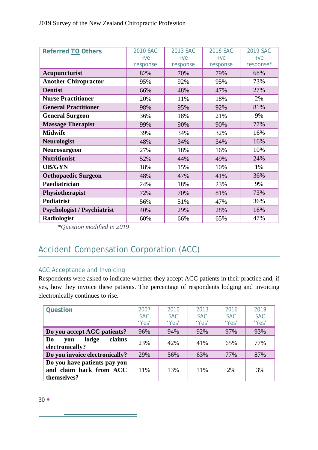| <b>Referred TO Others</b>          | 2010 SAC | 2013 SAC | 2016 SAC | 2019 SAC  |
|------------------------------------|----------|----------|----------|-----------|
|                                    | $+ve$    | $+ve$    | $+ve$    | $+ve$     |
|                                    | response | response | response | response* |
| Acupuncturist                      | 82%      | 70%      | 79%      | 68%       |
| <b>Another Chiropractor</b>        | 95%      | 92%      | 95%      | 73%       |
| <b>Dentist</b>                     | 66%      | 48%      | 47%      | 27%       |
| <b>Nurse Practitioner</b>          | 20%      | 11%      | 18%      | 2%        |
| <b>General Practitioner</b>        | 98%      | 95%      | 92%      | 81%       |
| <b>General Surgeon</b>             | 36%      | 18%      | 21%      | 9%        |
| <b>Massage Therapist</b>           | 99%      | 90%      | 90%      | 77%       |
| <b>Midwife</b>                     | 39%      | 34%      | 32%      | 16%       |
| <b>Neurologist</b>                 | 48%      | 34%      | 34%      | 16%       |
| Neurosurgeon                       | 27%      | 18%      | 16%      | 10%       |
| <b>Nutritionist</b>                | 52%      | 44%      | 49%      | 24%       |
| <b>OB/GYN</b>                      | 18%      | 15%      | 10%      | 1%        |
| <b>Orthopaedic Surgeon</b>         | 48%      | 47%      | 41%      | 36%       |
| Paediatrician                      | 24%      | 18%      | 23%      | 9%        |
| Physiotherapist                    | 72%      | 70%      | 81%      | 73%       |
| <b>Podiatrist</b>                  | 56%      | 51%      | 47%      | 36%       |
| <b>Psychologist / Psychiatrist</b> | 40%      | 29%      | 28%      | 16%       |
| Radiologist                        | 60%      | 66%      | 65%      | 47%       |

*\*Question modified in 2019*

# <span id="page-30-0"></span>Accident Compensation Corporation (ACC)

# <span id="page-30-1"></span>ACC Acceptance and Invoicing

Respondents were asked to indicate whether they accept ACC patients in their practice and, if yes, how they invoice these patients. The percentage of respondents lodging and invoicing electronically continues to rise.

| <b>Question</b>                                                        | 2007<br><b>SAC</b><br>'Yes' | 2010<br><b>SAC</b><br>'Yes' | 2013<br><b>SAC</b><br>'Yes' | 2016<br><b>SAC</b><br>'Yes' | 2019<br><b>SAC</b><br>'Yes' |
|------------------------------------------------------------------------|-----------------------------|-----------------------------|-----------------------------|-----------------------------|-----------------------------|
| Do you accept ACC patients?                                            | 96%                         | 94%                         | 92%                         | 97%                         | 93%                         |
| claims<br>lodge<br>Do<br>vou<br>electronically?                        | 23%                         | 42%                         | 41%                         | 65%                         | 77%                         |
| Do you invoice electronically?                                         | 29%                         | 56%                         | 63%                         | 77%                         | 87%                         |
| Do you have patients pay you<br>and claim back from ACC<br>themselves? | 11%                         | 13%                         | 11%                         | 2%                          | 3%                          |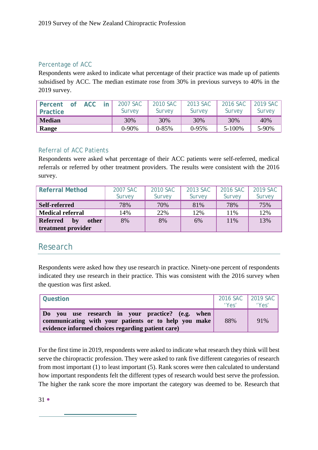#### Percentage of ACC

Respondents were asked to indicate what percentage of their practice was made up of patients subsidised by ACC. The median estimate rose from 30% in previous surveys to 40% in the 2019 survey.

<span id="page-31-0"></span>

| <b>Percent</b><br><b>Practice</b> | <b>ACC</b> | 2007 SAC<br>Survey | 2010 SAC<br><i>Survev</i> | 2013 SAC<br>Survey | 2016 SAC<br>Survey | 2019 SAC<br>Survey |
|-----------------------------------|------------|--------------------|---------------------------|--------------------|--------------------|--------------------|
| <b>Median</b>                     |            | 30%                | 30%                       | 30%                | 30%                | 40%                |
| Range                             |            | $0-90%$            | $0 - 85%$                 | $0-95%$            | 5-100%             | 5-90%              |

#### <span id="page-31-1"></span>Referral of ACC Patients

Respondents were asked what percentage of their ACC patients were self-referred, medical referrals or referred by other treatment providers. The results were consistent with the 2016 survey.

<span id="page-31-2"></span>

| <b>Referral Method</b>         | 2007 SAC<br>Survey | 2010 SAC<br>Survey | 2013 SAC<br>Survey | 2016 SAC<br>Survey | 2019 SAC<br>Survey |
|--------------------------------|--------------------|--------------------|--------------------|--------------------|--------------------|
| Self-referred                  | 78%                | 70%                | 81%                | 78%                | 75%                |
| <b>Medical referral</b>        | 14%                | 22%                | 12%                | 11%                | 12%                |
| <b>Referred</b><br>other<br>bv | 8%                 | 8%                 | 6%                 | 11%                | 13%                |
| treatment provider             |                    |                    |                    |                    |                    |

# <span id="page-31-3"></span>Research

Respondents were asked how they use research in practice. Ninety-one percent of respondents indicated they use research in their practice. This was consistent with the 2016 survey when the question was first asked.

| <b>Question</b>                                                                                                                                               | $\begin{array}{c c} 2016 \text{ SAC} & 2019 \text{ SAC} \\ \text{Yes'} & \text{Yes'} \end{array}$ |     |
|---------------------------------------------------------------------------------------------------------------------------------------------------------------|---------------------------------------------------------------------------------------------------|-----|
| Do you use research in your practice? (e.g. when<br>communicating with your patients or to help you make<br>evidence informed choices regarding patient care) | 88%                                                                                               | 91% |

For the first time in 2019, respondents were asked to indicate what research they think will best serve the chiropractic profession. They were asked to rank five different categories of research from most important (1) to least important (5). Rank scores were then calculated to understand how important respondents felt the different types of research would best serve the profession. The higher the rank score the more important the category was deemed to be. Research that

 $31 \bullet$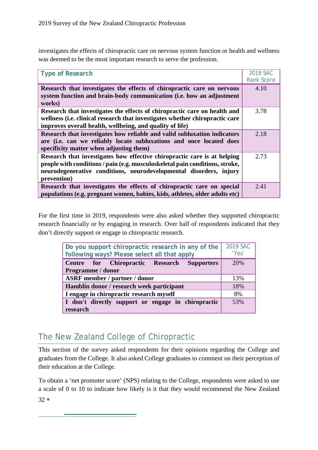investigates the effects of chiropractic care on nervous system function or health and wellness was deemed to be the most important research to serve the profession.

<span id="page-32-0"></span>

| <b>Type of Research</b>                                                                                                                                                                                                                       | 2019 SAC<br><b>Rank Score</b> |
|-----------------------------------------------------------------------------------------------------------------------------------------------------------------------------------------------------------------------------------------------|-------------------------------|
| Research that investigates the effects of chiropractic care on nervous<br>system function and brain-body communication (i.e. how an adjustment<br>works)                                                                                      | 4.10                          |
| Research that investigates the effects of chiropractic care on health and<br>wellness (i.e. clinical research that investigates whether chiropractic care<br>improves overall health, wellbeing, and quality of life)                         | 3.78                          |
| Research that investigates how reliable and valid subluxation indicators<br>are (i.e. can we reliably locate subluxations and once located does<br>specificity matter when adjusting them)                                                    | 2.18                          |
| Research that investigates how effective chiropractic care is at helping<br>people with conditions / pain (e.g. musculoskeletal pain conditions, stroke,<br>neurodegenerative conditions, neurodevelopmental disorders, injury<br>prevention) | 2.73                          |
| Research that investigates the effects of chiropractic care on special<br>populations (e.g. pregnant women, babies, kids, athletes, older adults etc)                                                                                         | 2.41                          |

For the first time in 2019, respondents were also asked whether they supported chiropractic research financially or by engaging in research. Over half of respondents indicated that they don't directly support or engage in chiropractic research.

<span id="page-32-1"></span>

| Do you support chiropractic research in any of the<br>following ways? Please select all that apply | 2019 SAC<br>'Yes' |
|----------------------------------------------------------------------------------------------------|-------------------|
| Centre for Chiropractic Research Supporters<br>Programme / donor                                   | 20%               |
| <b>ASRF</b> member / partner / donor                                                               | 13%               |
| Hamblin donor / research week participant                                                          | 18%               |
| I engage in chiropractic research myself                                                           | 8%                |
| I don't directly support or engage in chiropractic<br>research                                     | 53%               |

# <span id="page-32-2"></span>The New Zealand College of Chiropractic

and the control of the control of the control of the control of the control of the control of the control of the

This section of the survey asked respondents for their opinions regarding the College and graduates from the College. It also asked College graduates to comment on their perception of their education at the College.

 $32 \bullet$ To obtain a 'net promoter score' (NPS) relating to the College, respondents were asked to use a scale of 0 to 10 to indicate how likely is it that they would recommend the New Zealand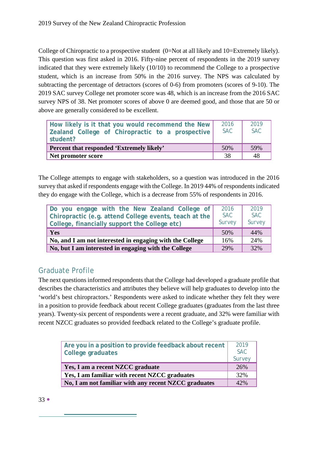College of Chiropractic to a prospective student (0=Not at all likely and 10=Extremely likely). This question was first asked in 2016. Fifty-nine percent of respondents in the 2019 survey indicated that they were extremely likely (10/10) to recommend the College to a prospective student, which is an increase from 50% in the 2016 survey. The NPS was calculated by subtracting the percentage of detractors (scores of 0-6) from promoters (scores of 9-10). The 2019 SAC survey College net promoter score was 48, which is an increase from the 2016 SAC survey NPS of 38. Net promoter scores of above 0 are deemed good, and those that are 50 or above are generally considered to be excellent.

<span id="page-33-0"></span>

| How likely is it that you would recommend the New<br>Zealand College of Chiropractic to a prospective<br>student? | 2016<br>SAC. | 2019<br><b>SAC</b> |
|-------------------------------------------------------------------------------------------------------------------|--------------|--------------------|
| Percent that responded 'Extremely likely'                                                                         | 50%          | .59%               |
| Net promoter score                                                                                                | 38           | 48                 |

The College attempts to engage with stakeholders, so a question was introduced in the 2016 survey that asked if respondents engage with the College. In 2019 44% of respondents indicated they do engage with the College, which is a decrease from 55% of respondents in 2016.

<span id="page-33-1"></span>

| Do you engage with the New Zealand College of<br>Chiropractic (e.g. attend College events, teach at the<br>College, financially support the College etc) | 2016<br>SAC<br>Survey | 2019<br><b>SAC</b><br>Survey |
|----------------------------------------------------------------------------------------------------------------------------------------------------------|-----------------------|------------------------------|
| Yes                                                                                                                                                      | 50%                   | 44%                          |
| No, and I am not interested in engaging with the College                                                                                                 | 16%                   | 24%                          |
| No, but I am interested in engaging with the College                                                                                                     | 29%                   | 32%                          |

# <span id="page-33-2"></span>Graduate Profile

The next questions informed respondents that the College had developed a graduate profile that describes the characteristics and attributes they believe will help graduates to develop into the 'world's best chiropractors.' Respondents were asked to indicate whether they felt they were in a position to provide feedback about recent College graduates (graduates from the last three years). Twenty-six percent of respondents were a recent graduate, and 32% were familiar with recent NZCC graduates so provided feedback related to the College's graduate profile.

<span id="page-33-3"></span>

| Are you in a position to provide feedback about recent<br>College graduates | 2019<br><b>SAC</b><br>Survey |
|-----------------------------------------------------------------------------|------------------------------|
| Yes, I am a recent NZCC graduate                                            | 26%                          |
| Yes, I am familiar with recent NZCC graduates                               | 32%                          |
| No, I am not familiar with any recent NZCC graduates                        | 42%                          |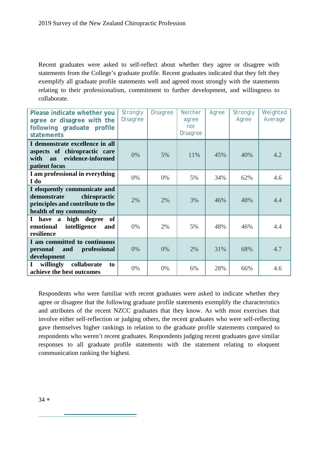Recent graduates were asked to self-reflect about whether they agree or disagree with statements from the College's graduate profile. Recent graduates indicated that they felt they exemplify all graduate profile statements well and agreed most strongly with the statements relating to their professionalism, commitment to further development, and willingness to collaborate.

<span id="page-34-0"></span>

| Please indicate whether you<br>agree or disagree with the<br>following graduate profile<br>statements                     | <b>Strongly</b><br><b>Disagree</b> | <b>Disagree</b> | <b>Neither</b><br>agree<br>nor<br><b>Disagree</b> | Agree | <b>Strongly</b><br>Agree | Weighted<br>Average |
|---------------------------------------------------------------------------------------------------------------------------|------------------------------------|-----------------|---------------------------------------------------|-------|--------------------------|---------------------|
| I demonstrate excellence in all<br>aspects of chiropractic care<br>evidence-informed<br>with<br>an<br>patient focus       | 0%                                 | 5%              | 11%                                               | 45%   | 40%                      | 4.2                 |
| I am professional in everything<br>I do                                                                                   | 0%                                 | $0\%$           | 5%                                                | 34%   | 62%                      | 4.6                 |
| I eloquently communicate and<br>demonstrate<br>chiropractic<br>principles and contribute to the<br>health of my community | 2%                                 | 2%              | 3%                                                | 46%   | 48%                      | 4.4                 |
| I have a high degree<br>of<br>intelligence<br>emotional<br>and<br>resilience                                              | $0\%$                              | 2%              | 5%                                                | 48%   | 46%                      | 4.4                 |
| I am committed to continuous<br>personal<br>professional<br>and<br>development                                            | 0%                                 | 0%              | 2%                                                | 31%   | 68%                      | 4.7                 |
| willingly<br>collaborate<br>$\mathbf I$<br>to<br>achieve the best outcomes                                                | $0\%$                              | 0%              | 6%                                                | 28%   | 66%                      | 4.6                 |

Respondents who were familiar with recent graduates were asked to indicate whether they agree or disagree that the following graduate profile statements exemplify the characteristics and attributes of the recent NZCC graduates that they know. As with most exercises that involve either self-reflection or judging others, the recent graduates who were self-reflecting gave themselves higher rankings in relation to the graduate profile statements compared to respondents who weren't recent graduates. Respondents judging recent graduates gave similar responses to all graduate profile statements with the statement relating to eloquent communication ranking the highest.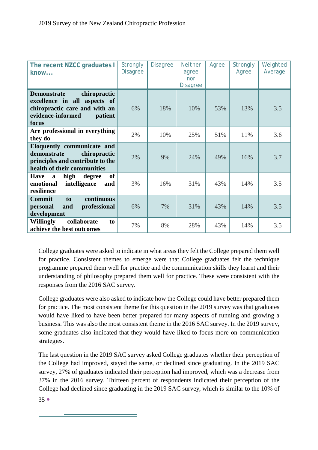| The recent NZCC graduates I<br>know                                                                                                          | <b>Strongly</b><br><b>Disagree</b> | <b>Disagree</b> | <b>Neither</b><br>agree<br>nor<br><b>Disagree</b> | Agree | Strongly<br>Agree | Weighted<br>Average |
|----------------------------------------------------------------------------------------------------------------------------------------------|------------------------------------|-----------------|---------------------------------------------------|-------|-------------------|---------------------|
| <b>Demonstrate</b><br>chiropractic<br>excellence in all aspects of<br>chiropractic care and with an<br>evidence-informed<br>patient<br>focus | 6%                                 | 18%             | 10%                                               | 53%   | 13%               | 3.5                 |
| Are professional in everything<br>they do                                                                                                    | 2%                                 | 10%             | 25%                                               | 51%   | 11%               | 3.6                 |
| Eloquently communicate and<br>chiropractic<br>demonstrate<br>principles and contribute to the<br>health of their communities                 | 2%                                 | 9%              | 24%                                               | 49%   | 16%               | 3.7                 |
| of<br>high<br><b>Have</b><br>degree<br>$\mathbf{a}$<br>intelligence<br>emotional<br>and<br>resilience                                        | 3%                                 | 16%             | 31%                                               | 43%   | 14%               | 3.5                 |
| continuous<br><b>Commit</b><br>to<br>professional<br>personal<br>and<br>development                                                          | 6%                                 | 7%              | 31%                                               | 43%   | 14%               | 3.5                 |
| <b>Willingly</b><br>collaborate<br>to<br>achieve the best outcomes                                                                           | 7%                                 | 8%              | 28%                                               | 43%   | 14%               | 3.5                 |

College graduates were asked to indicate in what areas they felt the College prepared them well for practice. Consistent themes to emerge were that College graduates felt the technique programme prepared them well for practice and the communication skills they learnt and their understanding of philosophy prepared them well for practice. These were consistent with the responses from the 2016 SAC survey.

College graduates were also asked to indicate how the College could have better prepared them for practice. The most consistent theme for this question in the 2019 survey was that graduates would have liked to have been better prepared for many aspects of running and growing a business. This was also the most consistent theme in the 2016 SAC survey. In the 2019 survey, some graduates also indicated that they would have liked to focus more on communication strategies.

The last question in the 2019 SAC survey asked College graduates whether their perception of the College had improved, stayed the same, or declined since graduating. In the 2019 SAC survey, 27% of graduates indicated their perception had improved, which was a decrease from 37% in the 2016 survey. Thirteen percent of respondents indicated their perception of the College had declined since graduating in the 2019 SAC survey, which is similar to the 10% of

 $350$